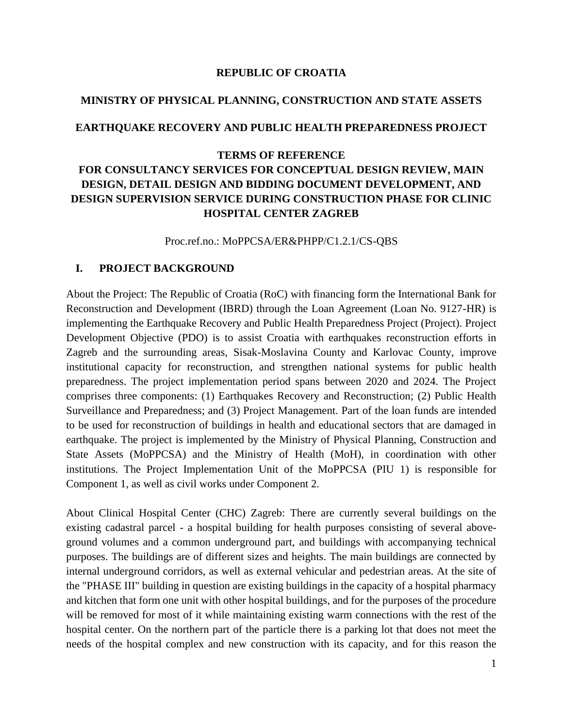#### **REPUBLIC OF CROATIA**

# **MINISTRY OF PHYSICAL PLANNING, CONSTRUCTION AND STATE ASSETS**

#### **EARTHQUAKE RECOVERY AND PUBLIC HEALTH PREPAREDNESS PROJECT**

# **TERMS OF REFERENCE FOR CONSULTANCY SERVICES FOR CONCEPTUAL DESIGN REVIEW, MAIN DESIGN, DETAIL DESIGN AND BIDDING DOCUMENT DEVELOPMENT, AND DESIGN SUPERVISION SERVICE DURING CONSTRUCTION PHASE FOR CLINIC HOSPITAL CENTER ZAGREB**

Proc.ref.no.: MoPPCSA/ER&PHPP/C1.2.1/CS-QBS

#### **I. PROJECT BACKGROUND**

About the Project: The Republic of Croatia (RoC) with financing form the International Bank for Reconstruction and Development (IBRD) through the Loan Agreement (Loan No. 9127-HR) is implementing the Earthquake Recovery and Public Health Preparedness Project (Project). Project Development Objective (PDO) is to assist Croatia with earthquakes reconstruction efforts in Zagreb and the surrounding areas, Sisak-Moslavina County and Karlovac County, improve institutional capacity for reconstruction, and strengthen national systems for public health preparedness. The project implementation period spans between 2020 and 2024. The Project comprises three components: (1) Earthquakes Recovery and Reconstruction; (2) Public Health Surveillance and Preparedness; and (3) Project Management. Part of the loan funds are intended to be used for reconstruction of buildings in health and educational sectors that are damaged in earthquake. The project is implemented by the Ministry of Physical Planning, Construction and State Assets (MoPPCSA) and the Ministry of Health (MoH), in coordination with other institutions. The Project Implementation Unit of the MoPPCSA (PIU 1) is responsible for Component 1, as well as civil works under Component 2.

About Clinical Hospital Center (CHC) Zagreb: There are currently several buildings on the existing cadastral parcel - a hospital building for health purposes consisting of several aboveground volumes and a common underground part, and buildings with accompanying technical purposes. The buildings are of different sizes and heights. The main buildings are connected by internal underground corridors, as well as external vehicular and pedestrian areas. At the site of the "PHASE III" building in question are existing buildings in the capacity of a hospital pharmacy and kitchen that form one unit with other hospital buildings, and for the purposes of the procedure will be removed for most of it while maintaining existing warm connections with the rest of the hospital center. On the northern part of the particle there is a parking lot that does not meet the needs of the hospital complex and new construction with its capacity, and for this reason the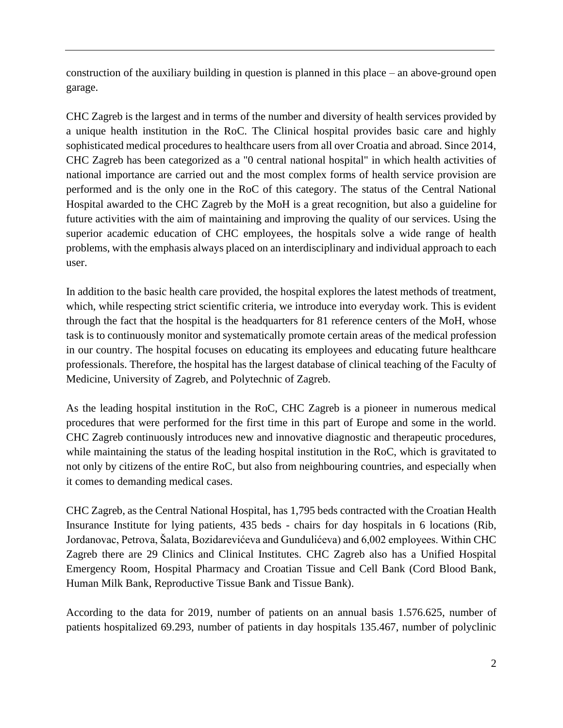construction of the auxiliary building in question is planned in this place – an above-ground open garage.

CHC Zagreb is the largest and in terms of the number and diversity of health services provided by a unique health institution in the RoC. The Clinical hospital provides basic care and highly sophisticated medical procedures to healthcare users from all over Croatia and abroad. Since 2014, CHC Zagreb has been categorized as a "0 central national hospital" in which health activities of national importance are carried out and the most complex forms of health service provision are performed and is the only one in the RoC of this category. The status of the Central National Hospital awarded to the CHC Zagreb by the MoH is a great recognition, but also a guideline for future activities with the aim of maintaining and improving the quality of our services. Using the superior academic education of CHC employees, the hospitals solve a wide range of health problems, with the emphasis always placed on an interdisciplinary and individual approach to each user.

In addition to the basic health care provided, the hospital explores the latest methods of treatment, which, while respecting strict scientific criteria, we introduce into everyday work. This is evident through the fact that the hospital is the headquarters for 81 reference centers of the MoH, whose task is to continuously monitor and systematically promote certain areas of the medical profession in our country. The hospital focuses on educating its employees and educating future healthcare professionals. Therefore, the hospital has the largest database of clinical teaching of the Faculty of Medicine, University of Zagreb, and Polytechnic of Zagreb.

As the leading hospital institution in the RoC, CHC Zagreb is a pioneer in numerous medical procedures that were performed for the first time in this part of Europe and some in the world. CHC Zagreb continuously introduces new and innovative diagnostic and therapeutic procedures, while maintaining the status of the leading hospital institution in the RoC, which is gravitated to not only by citizens of the entire RoC, but also from neighbouring countries, and especially when it comes to demanding medical cases.

CHC Zagreb, as the Central National Hospital, has 1,795 beds contracted with the Croatian Health Insurance Institute for lying patients, 435 beds - chairs for day hospitals in 6 locations (Rib, Jordanovac, Petrova, Šalata, Bozidarevićeva and Gundulićeva) and 6,002 employees. Within CHC Zagreb there are 29 Clinics and Clinical Institutes. CHC Zagreb also has a Unified Hospital Emergency Room, Hospital Pharmacy and Croatian Tissue and Cell Bank (Cord Blood Bank, Human Milk Bank, Reproductive Tissue Bank and Tissue Bank).

According to the data for 2019, number of patients on an annual basis 1.576.625, number of patients hospitalized 69.293, number of patients in day hospitals 135.467, number of polyclinic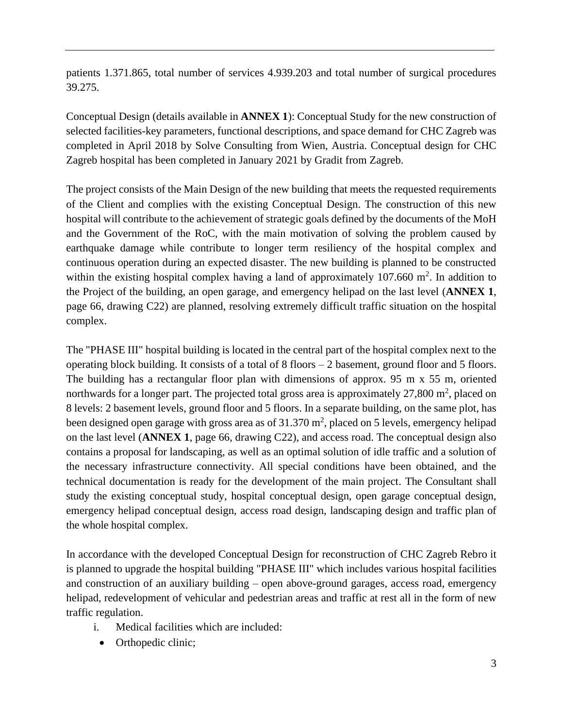patients 1.371.865, total number of services 4.939.203 and total number of surgical procedures 39.275.

Conceptual Design (details available in **ANNEX 1**): Conceptual Study for the new construction of selected facilities-key parameters, functional descriptions, and space demand for CHC Zagreb was completed in April 2018 by Solve Consulting from Wien, Austria. Conceptual design for CHC Zagreb hospital has been completed in January 2021 by Gradit from Zagreb.

The project consists of the Main Design of the new building that meets the requested requirements of the Client and complies with the existing Conceptual Design. The construction of this new hospital will contribute to the achievement of strategic goals defined by the documents of the MoH and the Government of the RoC, with the main motivation of solving the problem caused by earthquake damage while contribute to longer term resiliency of the hospital complex and continuous operation during an expected disaster. The new building is planned to be constructed within the existing hospital complex having a land of approximately  $107.660$  m<sup>2</sup>. In addition to the Project of the building, an open garage, and emergency helipad on the last level (**ANNEX 1**, page 66, drawing C22) are planned, resolving extremely difficult traffic situation on the hospital complex.

The "PHASE III" hospital building is located in the central part of the hospital complex next to the operating block building. It consists of a total of 8 floors – 2 basement, ground floor and 5 floors. The building has a rectangular floor plan with dimensions of approx. 95 m x 55 m, oriented northwards for a longer part. The projected total gross area is approximately  $27,800$  m<sup>2</sup>, placed on 8 levels: 2 basement levels, ground floor and 5 floors. In a separate building, on the same plot, has been designed open garage with gross area as of  $31.370 \text{ m}^2$ , placed on 5 levels, emergency helipad on the last level (**ANNEX 1**, page 66, drawing C22), and access road. The conceptual design also contains a proposal for landscaping, as well as an optimal solution of idle traffic and a solution of the necessary infrastructure connectivity. All special conditions have been obtained, and the technical documentation is ready for the development of the main project. The Consultant shall study the existing conceptual study, hospital conceptual design, open garage conceptual design, emergency helipad conceptual design, access road design, landscaping design and traffic plan of the whole hospital complex.

In accordance with the developed Conceptual Design for reconstruction of CHC Zagreb Rebro it is planned to upgrade the hospital building "PHASE III" which includes various hospital facilities and construction of an auxiliary building – open above-ground garages, access road, emergency helipad, redevelopment of vehicular and pedestrian areas and traffic at rest all in the form of new traffic regulation.

- i. Medical facilities which are included:
	- Orthopedic clinic;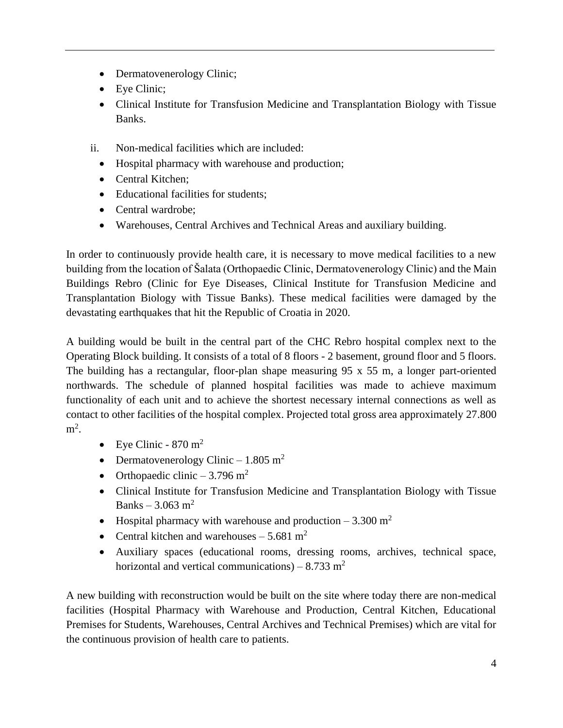- Dermatovenerology Clinic;
- Eye Clinic:
- Clinical Institute for Transfusion Medicine and Transplantation Biology with Tissue Banks.
- ii. Non-medical facilities which are included:
	- Hospital pharmacy with warehouse and production;
	- Central Kitchen:
	- Educational facilities for students;
	- Central wardrobe;
	- Warehouses, Central Archives and Technical Areas and auxiliary building.

In order to continuously provide health care, it is necessary to move medical facilities to a new building from the location of Šalata (Orthopaedic Clinic, Dermatovenerology Clinic) and the Main Buildings Rebro (Clinic for Eye Diseases, Clinical Institute for Transfusion Medicine and Transplantation Biology with Tissue Banks). These medical facilities were damaged by the devastating earthquakes that hit the Republic of Croatia in 2020.

A building would be built in the central part of the CHC Rebro hospital complex next to the Operating Block building. It consists of a total of 8 floors - 2 basement, ground floor and 5 floors. The building has a rectangular, floor-plan shape measuring 95 x 55 m, a longer part-oriented northwards. The schedule of planned hospital facilities was made to achieve maximum functionality of each unit and to achieve the shortest necessary internal connections as well as contact to other facilities of the hospital complex. Projected total gross area approximately 27.800  $m^2$ .

- Eye Clinic  $870 \text{ m}^2$
- Dermatovenerology Clinic 1.805 m<sup>2</sup>
- Orthopaedic clinic  $-3.796$  m<sup>2</sup>
- Clinical Institute for Transfusion Medicine and Transplantation Biology with Tissue Banks – 3.063 m<sup>2</sup>
- Hospital pharmacy with warehouse and production  $-3.300 \text{ m}^2$
- Central kitchen and warehouses  $-5.681$  m<sup>2</sup>
- Auxiliary spaces (educational rooms, dressing rooms, archives, technical space, horizontal and vertical communications) – 8.733 m<sup>2</sup>

A new building with reconstruction would be built on the site where today there are non-medical facilities (Hospital Pharmacy with Warehouse and Production, Central Kitchen, Educational Premises for Students, Warehouses, Central Archives and Technical Premises) which are vital for the continuous provision of health care to patients.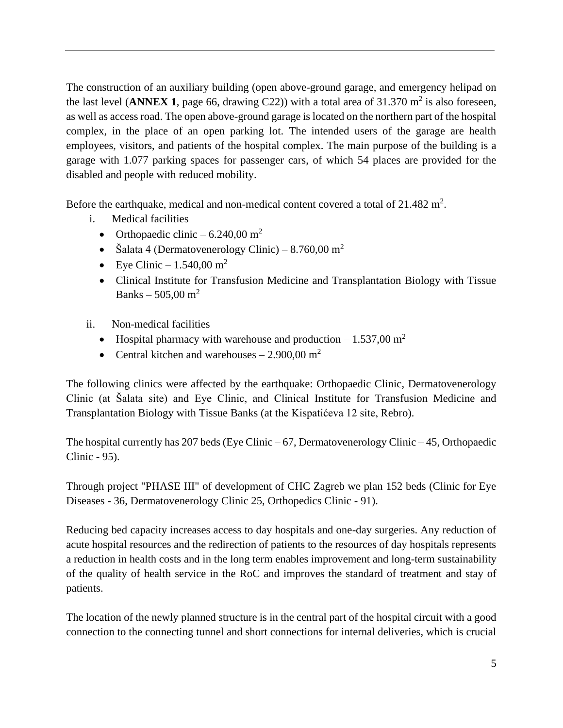The construction of an auxiliary building (open above-ground garage, and emergency helipad on the last level (**ANNEX 1**, page 66, drawing C22)) with a total area of  $31.370 \text{ m}^2$  is also foreseen, as well as access road. The open above-ground garage is located on the northern part of the hospital complex, in the place of an open parking lot. The intended users of the garage are health employees, visitors, and patients of the hospital complex. The main purpose of the building is a garage with 1.077 parking spaces for passenger cars, of which 54 places are provided for the disabled and people with reduced mobility.

Before the earthquake, medical and non-medical content covered a total of  $21.482 \text{ m}^2$ .

- i. Medical facilities
	- Orthopaedic clinic  $6.240,00 \text{ m}^2$
	- Šalata 4 (Dermatovenerology Clinic) 8.760,00 m<sup>2</sup>
	- Eye Clinic  $-1.540,00 \text{ m}^2$
	- Clinical Institute for Transfusion Medicine and Transplantation Biology with Tissue Banks – 505,00 m<sup>2</sup>
- ii. Non-medical facilities
	- Hospital pharmacy with warehouse and production  $-1.537,00 \text{ m}^2$
	- Central kitchen and warehouses  $-2.900.00 \text{ m}^2$

The following clinics were affected by the earthquake: Orthopaedic Clinic, Dermatovenerology Clinic (at Šalata site) and Eye Clinic, and Clinical Institute for Transfusion Medicine and Transplantation Biology with Tissue Banks (at the Kispatićeva 12 site, Rebro).

The hospital currently has 207 beds (Eye Clinic – 67, Dermatovenerology Clinic – 45, Orthopaedic Clinic - 95).

Through project "PHASE III" of development of CHC Zagreb we plan 152 beds (Clinic for Eye Diseases - 36, Dermatovenerology Clinic 25, Orthopedics Clinic - 91).

Reducing bed capacity increases access to day hospitals and one-day surgeries. Any reduction of acute hospital resources and the redirection of patients to the resources of day hospitals represents a reduction in health costs and in the long term enables improvement and long-term sustainability of the quality of health service in the RoC and improves the standard of treatment and stay of patients.

The location of the newly planned structure is in the central part of the hospital circuit with a good connection to the connecting tunnel and short connections for internal deliveries, which is crucial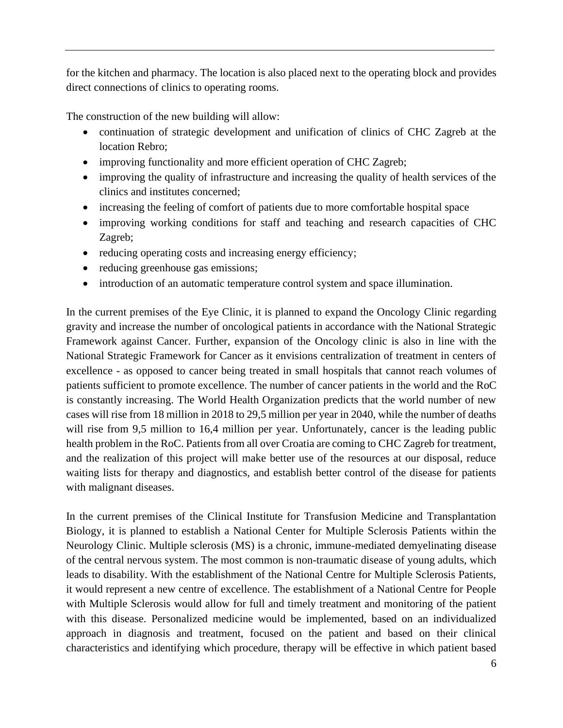for the kitchen and pharmacy. The location is also placed next to the operating block and provides direct connections of clinics to operating rooms.

The construction of the new building will allow:

- continuation of strategic development and unification of clinics of CHC Zagreb at the location Rebro;
- improving functionality and more efficient operation of CHC Zagreb;
- improving the quality of infrastructure and increasing the quality of health services of the clinics and institutes concerned;
- increasing the feeling of comfort of patients due to more comfortable hospital space
- improving working conditions for staff and teaching and research capacities of CHC Zagreb;
- reducing operating costs and increasing energy efficiency;
- reducing greenhouse gas emissions;
- introduction of an automatic temperature control system and space illumination.

In the current premises of the Eye Clinic, it is planned to expand the Oncology Clinic regarding gravity and increase the number of oncological patients in accordance with the National Strategic Framework against Cancer. Further, expansion of the Oncology clinic is also in line with the National Strategic Framework for Cancer as it envisions centralization of treatment in centers of excellence - as opposed to cancer being treated in small hospitals that cannot reach volumes of patients sufficient to promote excellence. The number of cancer patients in the world and the RoC is constantly increasing. The World Health Organization predicts that the world number of new cases will rise from 18 million in 2018 to 29,5 million per year in 2040, while the number of deaths will rise from 9,5 million to 16,4 million per year. Unfortunately, cancer is the leading public health problem in the RoC. Patients from all over Croatia are coming to CHC Zagreb for treatment, and the realization of this project will make better use of the resources at our disposal, reduce waiting lists for therapy and diagnostics, and establish better control of the disease for patients with malignant diseases.

In the current premises of the Clinical Institute for Transfusion Medicine and Transplantation Biology, it is planned to establish a National Center for Multiple Sclerosis Patients within the Neurology Clinic. Multiple sclerosis (MS) is a chronic, immune-mediated demyelinating disease of the central nervous system. The most common is non-traumatic disease of young adults, which leads to disability. With the establishment of the National Centre for Multiple Sclerosis Patients, it would represent a new centre of excellence. The establishment of a National Centre for People with Multiple Sclerosis would allow for full and timely treatment and monitoring of the patient with this disease. Personalized medicine would be implemented, based on an individualized approach in diagnosis and treatment, focused on the patient and based on their clinical characteristics and identifying which procedure, therapy will be effective in which patient based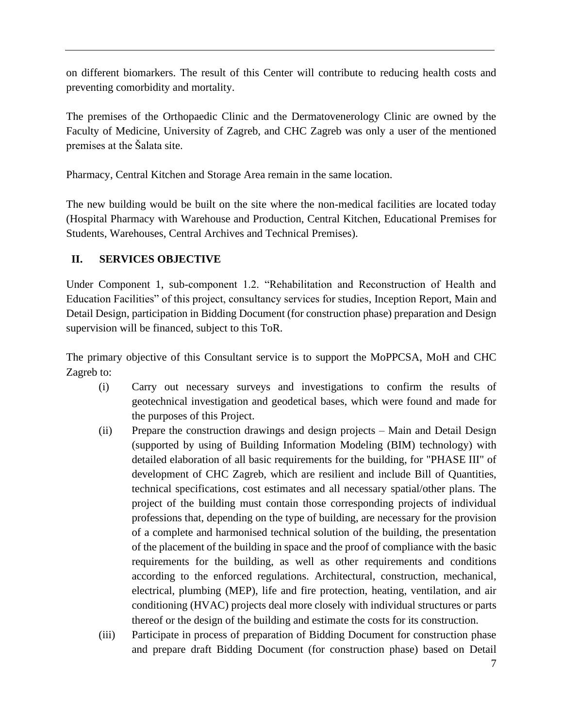on different biomarkers. The result of this Center will contribute to reducing health costs and preventing comorbidity and mortality.

The premises of the Orthopaedic Clinic and the Dermatovenerology Clinic are owned by the Faculty of Medicine, University of Zagreb, and CHC Zagreb was only a user of the mentioned premises at the Šalata site.

Pharmacy, Central Kitchen and Storage Area remain in the same location.

The new building would be built on the site where the non-medical facilities are located today (Hospital Pharmacy with Warehouse and Production, Central Kitchen, Educational Premises for Students, Warehouses, Central Archives and Technical Premises).

### **II. SERVICES OBJECTIVE**

Under Component 1, sub-component 1.2. "Rehabilitation and Reconstruction of Health and Education Facilities" of this project, consultancy services for studies, Inception Report, Main and Detail Design, participation in Bidding Document (for construction phase) preparation and Design supervision will be financed, subject to this ToR.

The primary objective of this Consultant service is to support the MoPPCSA, MoH and CHC Zagreb to:

- (i) Carry out necessary surveys and investigations to confirm the results of geotechnical investigation and geodetical bases, which were found and made for the purposes of this Project.
- (ii) Prepare the construction drawings and design projects Main and Detail Design (supported by using of Building Information Modeling (BIM) technology) with detailed elaboration of all basic requirements for the building, for "PHASE III" of development of CHC Zagreb, which are resilient and include Bill of Quantities, technical specifications, cost estimates and all necessary spatial/other plans. The project of the building must contain those corresponding projects of individual professions that, depending on the type of building, are necessary for the provision of a complete and harmonised technical solution of the building, the presentation of the placement of the building in space and the proof of compliance with the basic requirements for the building, as well as other requirements and conditions according to the enforced regulations. Architectural, construction, mechanical, electrical, plumbing (MEP), life and fire protection, heating, ventilation, and air conditioning (HVAC) projects deal more closely with individual structures or parts thereof or the design of the building and estimate the costs for its construction.
- (iii) Participate in process of preparation of Bidding Document for construction phase and prepare draft Bidding Document (for construction phase) based on Detail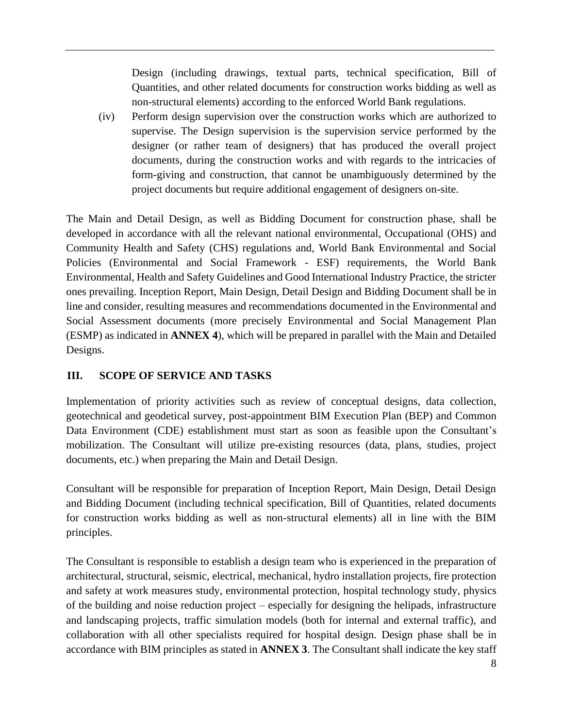Design (including drawings, textual parts, technical specification, Bill of Quantities, and other related documents for construction works bidding as well as non-structural elements) according to the enforced World Bank regulations.

(iv) Perform design supervision over the construction works which are authorized to supervise. The Design supervision is the supervision service performed by the designer (or rather team of designers) that has produced the overall project documents, during the construction works and with regards to the intricacies of form-giving and construction, that cannot be unambiguously determined by the project documents but require additional engagement of designers on-site.

The Main and Detail Design, as well as Bidding Document for construction phase, shall be developed in accordance with all the relevant national environmental, Occupational (OHS) and Community Health and Safety (CHS) regulations and, World Bank Environmental and Social Policies (Environmental and Social Framework - ESF) requirements, the World Bank Environmental, Health and Safety Guidelines and Good International Industry Practice, the stricter ones prevailing. Inception Report, Main Design, Detail Design and Bidding Document shall be in line and consider, resulting measures and recommendations documented in the Environmental and Social Assessment documents (more precisely Environmental and Social Management Plan (ESMP) as indicated in **ANNEX 4**), which will be prepared in parallel with the Main and Detailed Designs.

# **III. SCOPE OF SERVICE AND TASKS**

Implementation of priority activities such as review of conceptual designs, data collection, geotechnical and geodetical survey, post-appointment BIM Execution Plan (BEP) and Common Data Environment (CDE) establishment must start as soon as feasible upon the Consultant's mobilization. The Consultant will utilize pre-existing resources (data, plans, studies, project documents, etc.) when preparing the Main and Detail Design.

Consultant will be responsible for preparation of Inception Report, Main Design, Detail Design and Bidding Document (including technical specification, Bill of Quantities, related documents for construction works bidding as well as non-structural elements) all in line with the BIM principles.

The Consultant is responsible to establish a design team who is experienced in the preparation of architectural, structural, seismic, electrical, mechanical, hydro installation projects, fire protection and safety at work measures study, environmental protection, hospital technology study, physics of the building and noise reduction project – especially for designing the helipads, infrastructure and landscaping projects, traffic simulation models (both for internal and external traffic), and collaboration with all other specialists required for hospital design. Design phase shall be in accordance with BIM principles as stated in **ANNEX 3**. The Consultant shall indicate the key staff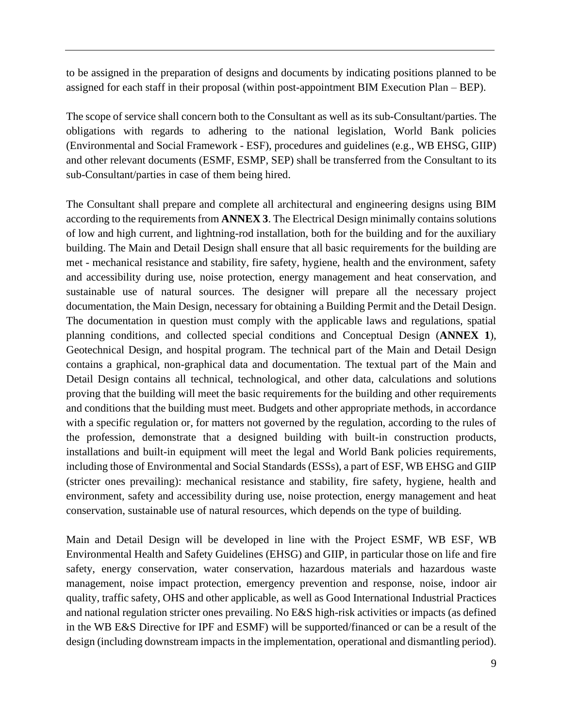to be assigned in the preparation of designs and documents by indicating positions planned to be assigned for each staff in their proposal (within post-appointment BIM Execution Plan – BEP).

The scope of service shall concern both to the Consultant as well as its sub-Consultant/parties. The obligations with regards to adhering to the national legislation, World Bank policies (Environmental and Social Framework - ESF), procedures and guidelines (e.g., WB EHSG, GIIP) and other relevant documents (ESMF, ESMP, SEP) shall be transferred from the Consultant to its sub-Consultant/parties in case of them being hired.

The Consultant shall prepare and complete all architectural and engineering designs using BIM according to the requirements from **ANNEX 3**. The Electrical Design minimally contains solutions of low and high current, and lightning-rod installation, both for the building and for the auxiliary building. The Main and Detail Design shall ensure that all basic requirements for the building are met - mechanical resistance and stability, fire safety, hygiene, health and the environment, safety and accessibility during use, noise protection, energy management and heat conservation, and sustainable use of natural sources. The designer will prepare all the necessary project documentation, the Main Design, necessary for obtaining a Building Permit and the Detail Design. The documentation in question must comply with the applicable laws and regulations, spatial planning conditions, and collected special conditions and Conceptual Design (**ANNEX 1**), Geotechnical Design, and hospital program. The technical part of the Main and Detail Design contains a graphical, non-graphical data and documentation. The textual part of the Main and Detail Design contains all technical, technological, and other data, calculations and solutions proving that the building will meet the basic requirements for the building and other requirements and conditions that the building must meet. Budgets and other appropriate methods, in accordance with a specific regulation or, for matters not governed by the regulation, according to the rules of the profession, demonstrate that a designed building with built-in construction products, installations and built-in equipment will meet the legal and World Bank policies requirements, including those of Environmental and Social Standards (ESSs), a part of ESF, WB EHSG and GIIP (stricter ones prevailing): mechanical resistance and stability, fire safety, hygiene, health and environment, safety and accessibility during use, noise protection, energy management and heat conservation, sustainable use of natural resources, which depends on the type of building.

Main and Detail Design will be developed in line with the Project ESMF, WB ESF, WB Environmental Health and Safety Guidelines (EHSG) and GIIP, in particular those on life and fire safety, energy conservation, water conservation, hazardous materials and hazardous waste management, noise impact protection, emergency prevention and response, noise, indoor air quality, traffic safety, OHS and other applicable, as well as Good International Industrial Practices and national regulation stricter ones prevailing. No E&S high-risk activities or impacts (as defined in the WB E&S Directive for IPF and ESMF) will be supported/financed or can be a result of the design (including downstream impacts in the implementation, operational and dismantling period).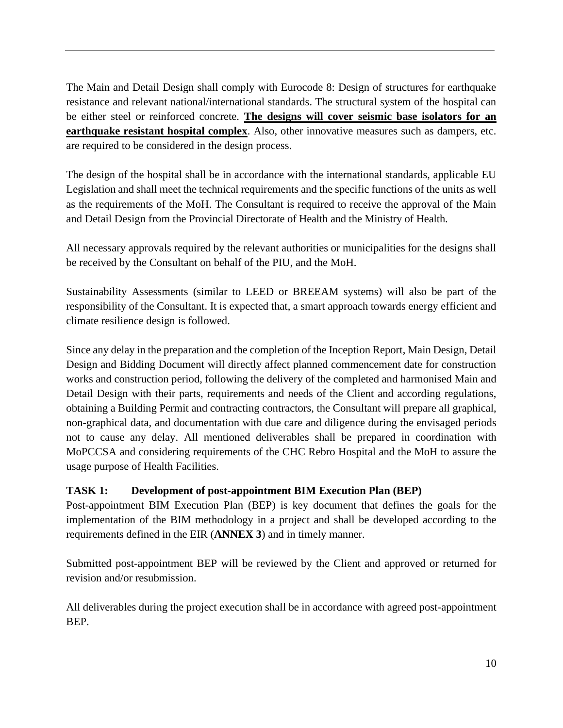The Main and Detail Design shall comply with Eurocode 8: Design of structures for earthquake resistance and relevant national/international standards. The structural system of the hospital can be either steel or reinforced concrete. **The designs will cover seismic base isolators for an earthquake resistant hospital complex**. Also, other innovative measures such as dampers, etc. are required to be considered in the design process.

The design of the hospital shall be in accordance with the international standards, applicable EU Legislation and shall meet the technical requirements and the specific functions of the units as well as the requirements of the MoH. The Consultant is required to receive the approval of the Main and Detail Design from the Provincial Directorate of Health and the Ministry of Health.

All necessary approvals required by the relevant authorities or municipalities for the designs shall be received by the Consultant on behalf of the PIU, and the MoH.

Sustainability Assessments (similar to LEED or BREEAM systems) will also be part of the responsibility of the Consultant. It is expected that, a smart approach towards energy efficient and climate resilience design is followed.

Since any delay in the preparation and the completion of the Inception Report, Main Design, Detail Design and Bidding Document will directly affect planned commencement date for construction works and construction period, following the delivery of the completed and harmonised Main and Detail Design with their parts, requirements and needs of the Client and according regulations, obtaining a Building Permit and contracting contractors, the Consultant will prepare all graphical, non-graphical data, and documentation with due care and diligence during the envisaged periods not to cause any delay. All mentioned deliverables shall be prepared in coordination with MoPCCSA and considering requirements of the CHC Rebro Hospital and the MoH to assure the usage purpose of Health Facilities.

# **TASK 1: Development of post-appointment BIM Execution Plan (BEP)**

Post-appointment BIM Execution Plan (BEP) is key document that defines the goals for the implementation of the BIM methodology in a project and shall be developed according to the requirements defined in the EIR (**ANNEX 3**) and in timely manner.

Submitted post-appointment BEP will be reviewed by the Client and approved or returned for revision and/or resubmission.

All deliverables during the project execution shall be in accordance with agreed post-appointment BEP.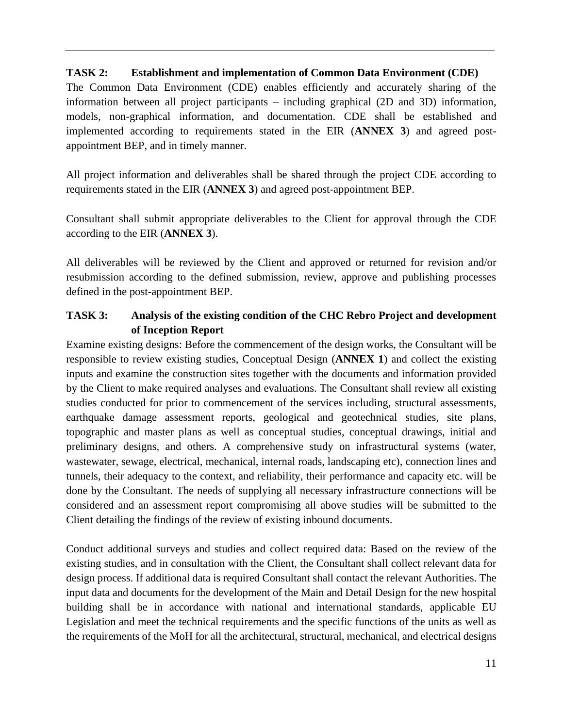#### **TASK 2: Establishment and implementation of Common Data Environment (CDE)**

The Common Data Environment (CDE) enables efficiently and accurately sharing of the information between all project participants – including graphical (2D and 3D) information, models, non-graphical information, and documentation. CDE shall be established and implemented according to requirements stated in the EIR (**ANNEX 3**) and agreed postappointment BEP, and in timely manner.

All project information and deliverables shall be shared through the project CDE according to requirements stated in the EIR (**ANNEX 3**) and agreed post-appointment BEP.

Consultant shall submit appropriate deliverables to the Client for approval through the CDE according to the EIR (**ANNEX 3**).

All deliverables will be reviewed by the Client and approved or returned for revision and/or resubmission according to the defined submission, review, approve and publishing processes defined in the post-appointment BEP.

# **TASK 3: Analysis of the existing condition of the CHC Rebro Project and development of Inception Report**

Examine existing designs: Before the commencement of the design works, the Consultant will be responsible to review existing studies, Conceptual Design (**ANNEX 1**) and collect the existing inputs and examine the construction sites together with the documents and information provided by the Client to make required analyses and evaluations. The Consultant shall review all existing studies conducted for prior to commencement of the services including, structural assessments, earthquake damage assessment reports, geological and geotechnical studies, site plans, topographic and master plans as well as conceptual studies, conceptual drawings, initial and preliminary designs, and others. A comprehensive study on infrastructural systems (water, wastewater, sewage, electrical, mechanical, internal roads, landscaping etc), connection lines and tunnels, their adequacy to the context, and reliability, their performance and capacity etc. will be done by the Consultant. The needs of supplying all necessary infrastructure connections will be considered and an assessment report compromising all above studies will be submitted to the Client detailing the findings of the review of existing inbound documents.

Conduct additional surveys and studies and collect required data: Based on the review of the existing studies, and in consultation with the Client, the Consultant shall collect relevant data for design process. If additional data is required Consultant shall contact the relevant Authorities. The input data and documents for the development of the Main and Detail Design for the new hospital building shall be in accordance with national and international standards, applicable EU Legislation and meet the technical requirements and the specific functions of the units as well as the requirements of the MoH for all the architectural, structural, mechanical, and electrical designs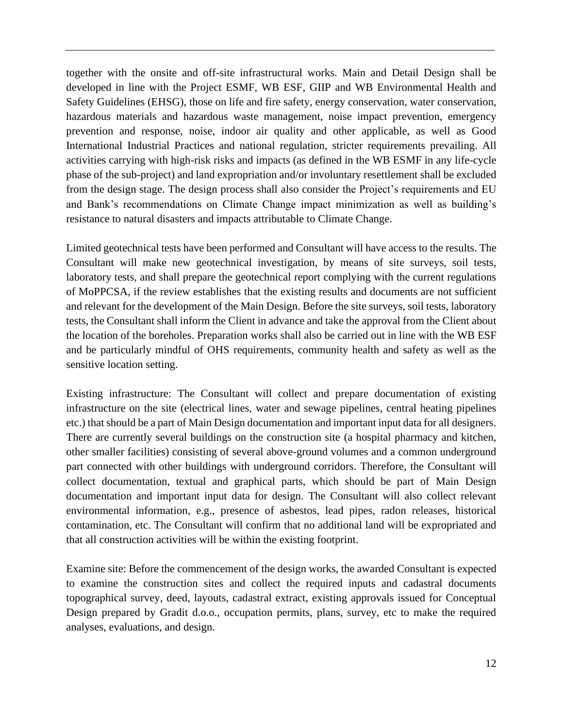together with the onsite and off-site infrastructural works. Main and Detail Design shall be developed in line with the Project ESMF, WB ESF, GIIP and WB Environmental Health and Safety Guidelines (EHSG), those on life and fire safety, energy conservation, water conservation, hazardous materials and hazardous waste management, noise impact prevention, emergency prevention and response, noise, indoor air quality and other applicable, as well as Good International Industrial Practices and national regulation, stricter requirements prevailing. All activities carrying with high-risk risks and impacts (as defined in the WB ESMF in any life-cycle phase of the sub-project) and land expropriation and/or involuntary resettlement shall be excluded from the design stage. The design process shall also consider the Project's requirements and EU and Bank's recommendations on Climate Change impact minimization as well as building's resistance to natural disasters and impacts attributable to Climate Change.

Limited geotechnical tests have been performed and Consultant will have access to the results. The Consultant will make new geotechnical investigation, by means of site surveys, soil tests, laboratory tests, and shall prepare the geotechnical report complying with the current regulations of MoPPCSA, if the review establishes that the existing results and documents are not sufficient and relevant for the development of the Main Design. Before the site surveys, soil tests, laboratory tests, the Consultant shall inform the Client in advance and take the approval from the Client about the location of the boreholes. Preparation works shall also be carried out in line with the WB ESF and be particularly mindful of OHS requirements, community health and safety as well as the sensitive location setting.

Existing infrastructure: The Consultant will collect and prepare documentation of existing infrastructure on the site (electrical lines, water and sewage pipelines, central heating pipelines etc.) that should be a part of Main Design documentation and important input data for all designers. There are currently several buildings on the construction site (a hospital pharmacy and kitchen, other smaller facilities) consisting of several above-ground volumes and a common underground part connected with other buildings with underground corridors. Therefore, the Consultant will collect documentation, textual and graphical parts, which should be part of Main Design documentation and important input data for design. The Consultant will also collect relevant environmental information, e.g., presence of asbestos, lead pipes, radon releases, historical contamination, etc. The Consultant will confirm that no additional land will be expropriated and that all construction activities will be within the existing footprint.

Examine site: Before the commencement of the design works, the awarded Consultant is expected to examine the construction sites and collect the required inputs and cadastral documents topographical survey, deed, layouts, cadastral extract, existing approvals issued for Conceptual Design prepared by Gradit d.o.o., occupation permits, plans, survey, etc to make the required analyses, evaluations, and design.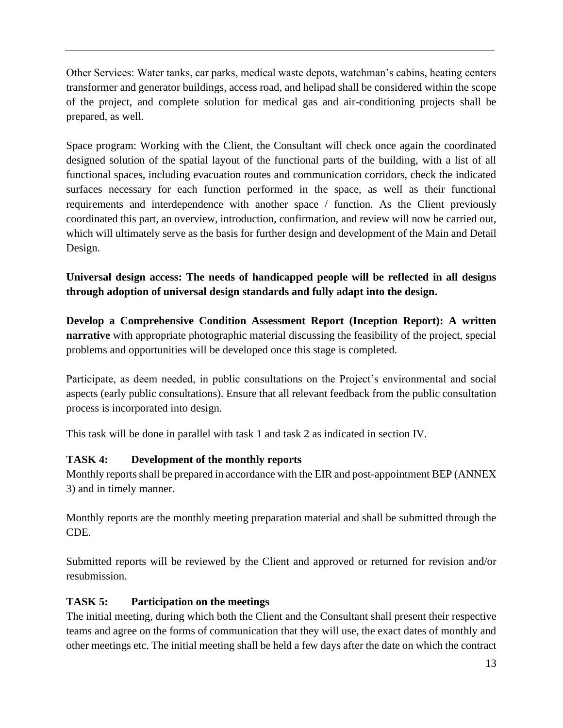Other Services: Water tanks, car parks, medical waste depots, watchman's cabins, heating centers transformer and generator buildings, access road, and helipad shall be considered within the scope of the project, and complete solution for medical gas and air-conditioning projects shall be prepared, as well.

Space program: Working with the Client, the Consultant will check once again the coordinated designed solution of the spatial layout of the functional parts of the building, with a list of all functional spaces, including evacuation routes and communication corridors, check the indicated surfaces necessary for each function performed in the space, as well as their functional requirements and interdependence with another space / function. As the Client previously coordinated this part, an overview, introduction, confirmation, and review will now be carried out, which will ultimately serve as the basis for further design and development of the Main and Detail Design.

# **Universal design access: The needs of handicapped people will be reflected in all designs through adoption of universal design standards and fully adapt into the design.**

**Develop a Comprehensive Condition Assessment Report (Inception Report): A written narrative** with appropriate photographic material discussing the feasibility of the project, special problems and opportunities will be developed once this stage is completed.

Participate, as deem needed, in public consultations on the Project's environmental and social aspects (early public consultations). Ensure that all relevant feedback from the public consultation process is incorporated into design.

This task will be done in parallel with task 1 and task 2 as indicated in section IV.

# **TASK 4: Development of the monthly reports**

Monthly reports shall be prepared in accordance with the EIR and post-appointment BEP (ANNEX 3) and in timely manner.

Monthly reports are the monthly meeting preparation material and shall be submitted through the CDE.

Submitted reports will be reviewed by the Client and approved or returned for revision and/or resubmission.

# **TASK 5: Participation on the meetings**

The initial meeting, during which both the Client and the Consultant shall present their respective teams and agree on the forms of communication that they will use, the exact dates of monthly and other meetings etc. The initial meeting shall be held a few days after the date on which the contract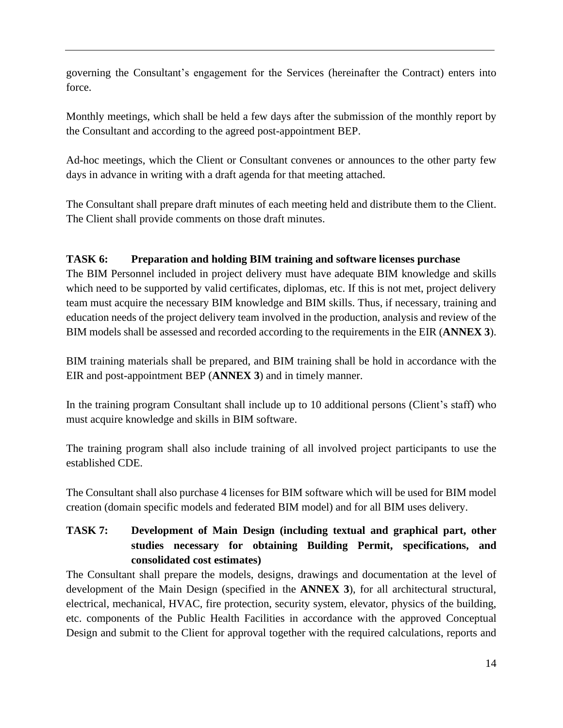governing the Consultant's engagement for the Services (hereinafter the Contract) enters into force.

Monthly meetings, which shall be held a few days after the submission of the monthly report by the Consultant and according to the agreed post-appointment BEP.

Ad-hoc meetings, which the Client or Consultant convenes or announces to the other party few days in advance in writing with a draft agenda for that meeting attached.

The Consultant shall prepare draft minutes of each meeting held and distribute them to the Client. The Client shall provide comments on those draft minutes.

# **TASK 6: Preparation and holding BIM training and software licenses purchase**

The BIM Personnel included in project delivery must have adequate BIM knowledge and skills which need to be supported by valid certificates, diplomas, etc. If this is not met, project delivery team must acquire the necessary BIM knowledge and BIM skills. Thus, if necessary, training and education needs of the project delivery team involved in the production, analysis and review of the BIM models shall be assessed and recorded according to the requirements in the EIR (**ANNEX 3**).

BIM training materials shall be prepared, and BIM training shall be hold in accordance with the EIR and post-appointment BEP (**ANNEX 3**) and in timely manner.

In the training program Consultant shall include up to 10 additional persons (Client's staff) who must acquire knowledge and skills in BIM software.

The training program shall also include training of all involved project participants to use the established CDE.

The Consultant shall also purchase 4 licenses for BIM software which will be used for BIM model creation (domain specific models and federated BIM model) and for all BIM uses delivery.

# **TASK 7: Development of Main Design (including textual and graphical part, other studies necessary for obtaining Building Permit, specifications, and consolidated cost estimates)**

The Consultant shall prepare the models, designs, drawings and documentation at the level of development of the Main Design (specified in the **ANNEX 3**), for all architectural structural, electrical, mechanical, HVAC, fire protection, security system, elevator, physics of the building, etc. components of the Public Health Facilities in accordance with the approved Conceptual Design and submit to the Client for approval together with the required calculations, reports and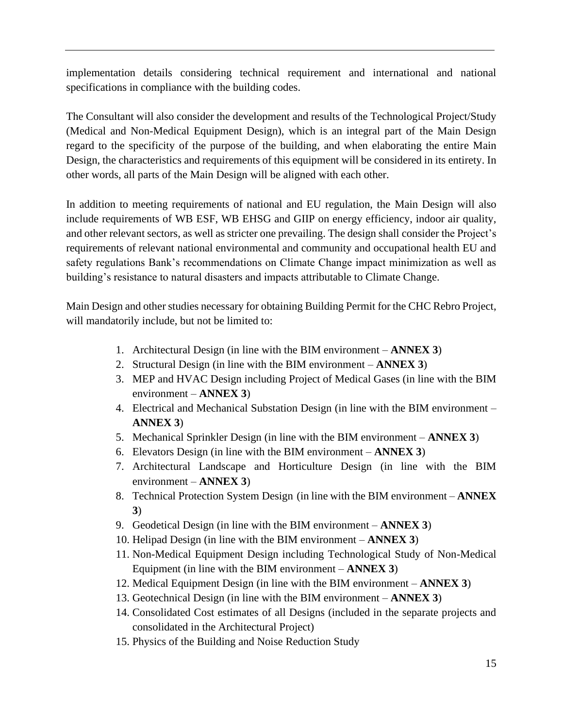implementation details considering technical requirement and international and national specifications in compliance with the building codes.

The Consultant will also consider the development and results of the Technological Project/Study (Medical and Non-Medical Equipment Design), which is an integral part of the Main Design regard to the specificity of the purpose of the building, and when elaborating the entire Main Design, the characteristics and requirements of this equipment will be considered in its entirety. In other words, all parts of the Main Design will be aligned with each other.

In addition to meeting requirements of national and EU regulation, the Main Design will also include requirements of WB ESF, WB EHSG and GIIP on energy efficiency, indoor air quality, and other relevant sectors, as well as stricter one prevailing. The design shall consider the Project's requirements of relevant national environmental and community and occupational health EU and safety regulations Bank's recommendations on Climate Change impact minimization as well as building's resistance to natural disasters and impacts attributable to Climate Change.

Main Design and other studies necessary for obtaining Building Permit for the CHC Rebro Project, will mandatorily include, but not be limited to:

- 1. Architectural Design (in line with the BIM environment **ANNEX 3**)
- 2. Structural Design (in line with the BIM environment **ANNEX 3**)
- 3. MEP and HVAC Design including Project of Medical Gases (in line with the BIM environment – **ANNEX 3**)
- 4. Electrical and Mechanical Substation Design (in line with the BIM environment **ANNEX 3**)
- 5. Mechanical Sprinkler Design (in line with the BIM environment **ANNEX 3**)
- 6. Elevators Design (in line with the BIM environment **ANNEX 3**)
- 7. Architectural Landscape and Horticulture Design (in line with the BIM environment – **ANNEX 3**)
- 8. Technical Protection System Design (in line with the BIM environment **ANNEX 3**)
- 9. Geodetical Design (in line with the BIM environment **ANNEX 3**)
- 10. Helipad Design (in line with the BIM environment **ANNEX 3**)
- 11. Non-Medical Equipment Design including Technological Study of Non-Medical Equipment (in line with the BIM environment – **ANNEX 3**)
- 12. Medical Equipment Design (in line with the BIM environment **ANNEX 3**)
- 13. Geotechnical Design (in line with the BIM environment **ANNEX 3**)
- 14. Consolidated Cost estimates of all Designs (included in the separate projects and consolidated in the Architectural Project)
- 15. Physics of the Building and Noise Reduction Study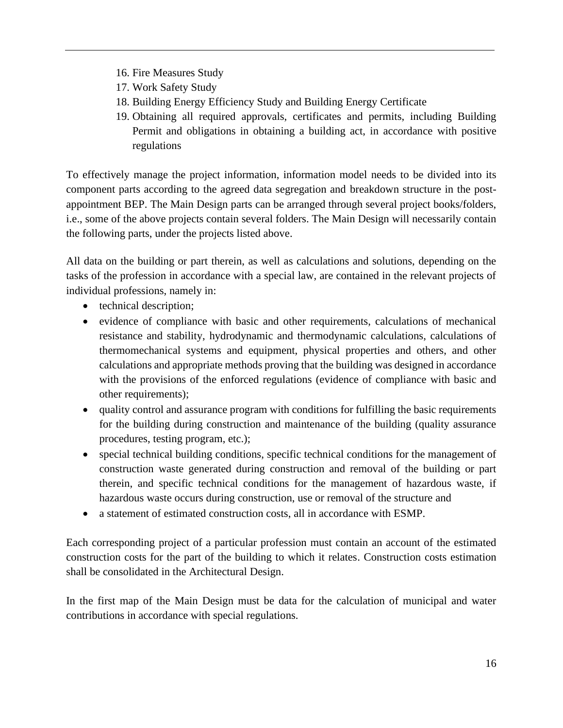- 16. Fire Measures Study
- 17. Work Safety Study
- 18. Building Energy Efficiency Study and Building Energy Certificate
- 19. Obtaining all required approvals, certificates and permits, including Building Permit and obligations in obtaining a building act, in accordance with positive regulations

To effectively manage the project information, information model needs to be divided into its component parts according to the agreed data segregation and breakdown structure in the postappointment BEP. The Main Design parts can be arranged through several project books/folders, i.e., some of the above projects contain several folders. The Main Design will necessarily contain the following parts, under the projects listed above.

All data on the building or part therein, as well as calculations and solutions, depending on the tasks of the profession in accordance with a special law, are contained in the relevant projects of individual professions, namely in:

- technical description;
- evidence of compliance with basic and other requirements, calculations of mechanical resistance and stability, hydrodynamic and thermodynamic calculations, calculations of thermomechanical systems and equipment, physical properties and others, and other calculations and appropriate methods proving that the building was designed in accordance with the provisions of the enforced regulations (evidence of compliance with basic and other requirements);
- quality control and assurance program with conditions for fulfilling the basic requirements for the building during construction and maintenance of the building (quality assurance procedures, testing program, etc.);
- special technical building conditions, specific technical conditions for the management of construction waste generated during construction and removal of the building or part therein, and specific technical conditions for the management of hazardous waste, if hazardous waste occurs during construction, use or removal of the structure and
- a statement of estimated construction costs, all in accordance with ESMP.

Each corresponding project of a particular profession must contain an account of the estimated construction costs for the part of the building to which it relates. Construction costs estimation shall be consolidated in the Architectural Design.

In the first map of the Main Design must be data for the calculation of municipal and water contributions in accordance with special regulations.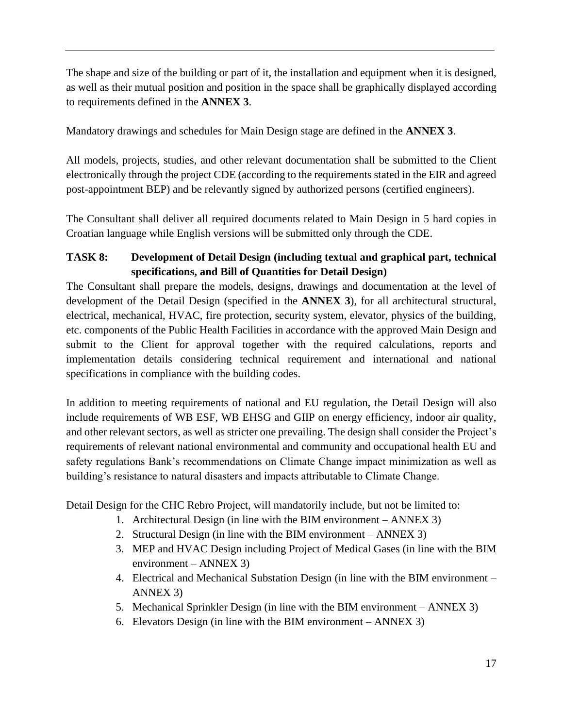The shape and size of the building or part of it, the installation and equipment when it is designed, as well as their mutual position and position in the space shall be graphically displayed according to requirements defined in the **ANNEX 3**.

Mandatory drawings and schedules for Main Design stage are defined in the **ANNEX 3**.

All models, projects, studies, and other relevant documentation shall be submitted to the Client electronically through the project CDE (according to the requirements stated in the EIR and agreed post-appointment BEP) and be relevantly signed by authorized persons (certified engineers).

The Consultant shall deliver all required documents related to Main Design in 5 hard copies in Croatian language while English versions will be submitted only through the CDE.

# **TASK 8: Development of Detail Design (including textual and graphical part, technical specifications, and Bill of Quantities for Detail Design)**

The Consultant shall prepare the models, designs, drawings and documentation at the level of development of the Detail Design (specified in the **ANNEX 3**), for all architectural structural, electrical, mechanical, HVAC, fire protection, security system, elevator, physics of the building, etc. components of the Public Health Facilities in accordance with the approved Main Design and submit to the Client for approval together with the required calculations, reports and implementation details considering technical requirement and international and national specifications in compliance with the building codes.

In addition to meeting requirements of national and EU regulation, the Detail Design will also include requirements of WB ESF, WB EHSG and GIIP on energy efficiency, indoor air quality, and other relevant sectors, as well as stricter one prevailing. The design shall consider the Project's requirements of relevant national environmental and community and occupational health EU and safety regulations Bank's recommendations on Climate Change impact minimization as well as building's resistance to natural disasters and impacts attributable to Climate Change.

Detail Design for the CHC Rebro Project, will mandatorily include, but not be limited to:

- 1. Architectural Design (in line with the BIM environment ANNEX 3)
- 2. Structural Design (in line with the BIM environment ANNEX 3)
- 3. MEP and HVAC Design including Project of Medical Gases (in line with the BIM environment – ANNEX 3)
- 4. Electrical and Mechanical Substation Design (in line with the BIM environment ANNEX 3)
- 5. Mechanical Sprinkler Design (in line with the BIM environment ANNEX 3)
- 6. Elevators Design (in line with the BIM environment ANNEX 3)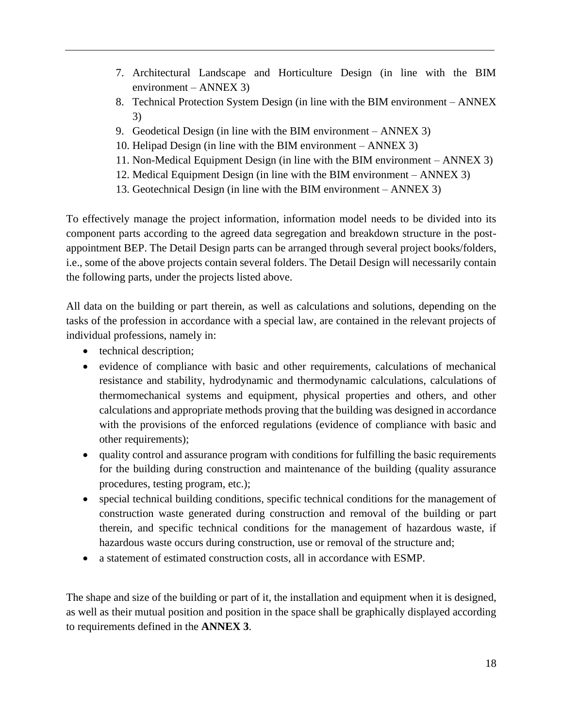- 7. Architectural Landscape and Horticulture Design (in line with the BIM environment – ANNEX 3)
- 8. Technical Protection System Design (in line with the BIM environment ANNEX 3)
- 9. Geodetical Design (in line with the BIM environment ANNEX 3)
- 10. Helipad Design (in line with the BIM environment ANNEX 3)
- 11. Non-Medical Equipment Design (in line with the BIM environment ANNEX 3)
- 12. Medical Equipment Design (in line with the BIM environment ANNEX 3)
- 13. Geotechnical Design (in line with the BIM environment ANNEX 3)

To effectively manage the project information, information model needs to be divided into its component parts according to the agreed data segregation and breakdown structure in the postappointment BEP. The Detail Design parts can be arranged through several project books/folders, i.e., some of the above projects contain several folders. The Detail Design will necessarily contain the following parts, under the projects listed above.

All data on the building or part therein, as well as calculations and solutions, depending on the tasks of the profession in accordance with a special law, are contained in the relevant projects of individual professions, namely in:

- technical description;
- evidence of compliance with basic and other requirements, calculations of mechanical resistance and stability, hydrodynamic and thermodynamic calculations, calculations of thermomechanical systems and equipment, physical properties and others, and other calculations and appropriate methods proving that the building was designed in accordance with the provisions of the enforced regulations (evidence of compliance with basic and other requirements);
- quality control and assurance program with conditions for fulfilling the basic requirements for the building during construction and maintenance of the building (quality assurance procedures, testing program, etc.);
- special technical building conditions, specific technical conditions for the management of construction waste generated during construction and removal of the building or part therein, and specific technical conditions for the management of hazardous waste, if hazardous waste occurs during construction, use or removal of the structure and;
- a statement of estimated construction costs, all in accordance with ESMP.

The shape and size of the building or part of it, the installation and equipment when it is designed, as well as their mutual position and position in the space shall be graphically displayed according to requirements defined in the **ANNEX 3**.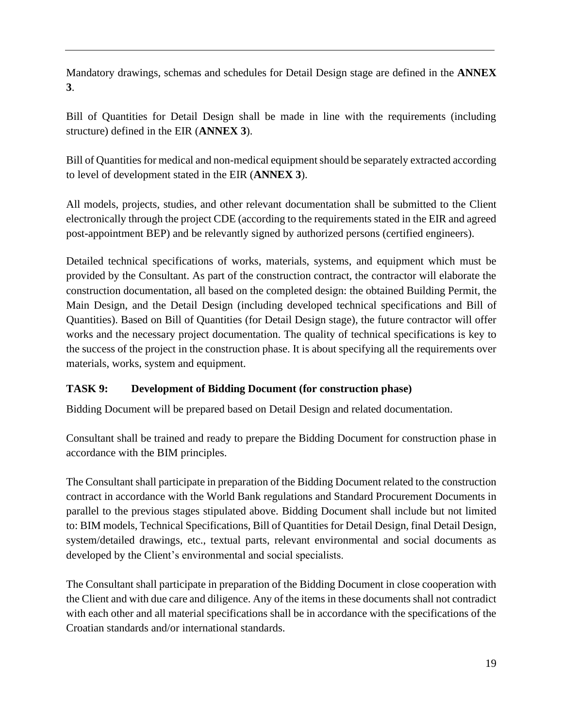Mandatory drawings, schemas and schedules for Detail Design stage are defined in the **ANNEX 3**.

Bill of Quantities for Detail Design shall be made in line with the requirements (including structure) defined in the EIR (**ANNEX 3**).

Bill of Quantities for medical and non-medical equipment should be separately extracted according to level of development stated in the EIR (**ANNEX 3**).

All models, projects, studies, and other relevant documentation shall be submitted to the Client electronically through the project CDE (according to the requirements stated in the EIR and agreed post-appointment BEP) and be relevantly signed by authorized persons (certified engineers).

Detailed technical specifications of works, materials, systems, and equipment which must be provided by the Consultant. As part of the construction contract, the contractor will elaborate the construction documentation, all based on the completed design: the obtained Building Permit, the Main Design, and the Detail Design (including developed technical specifications and Bill of Quantities). Based on Bill of Quantities (for Detail Design stage), the future contractor will offer works and the necessary project documentation. The quality of technical specifications is key to the success of the project in the construction phase. It is about specifying all the requirements over materials, works, system and equipment.

# **TASK 9: Development of Bidding Document (for construction phase)**

Bidding Document will be prepared based on Detail Design and related documentation.

Consultant shall be trained and ready to prepare the Bidding Document for construction phase in accordance with the BIM principles.

The Consultant shall participate in preparation of the Bidding Document related to the construction contract in accordance with the World Bank regulations and Standard Procurement Documents in parallel to the previous stages stipulated above. Bidding Document shall include but not limited to: BIM models, Technical Specifications, Bill of Quantities for Detail Design, final Detail Design, system/detailed drawings, etc., textual parts, relevant environmental and social documents as developed by the Client's environmental and social specialists.

The Consultant shall participate in preparation of the Bidding Document in close cooperation with the Client and with due care and diligence. Any of the items in these documents shall not contradict with each other and all material specifications shall be in accordance with the specifications of the Croatian standards and/or international standards.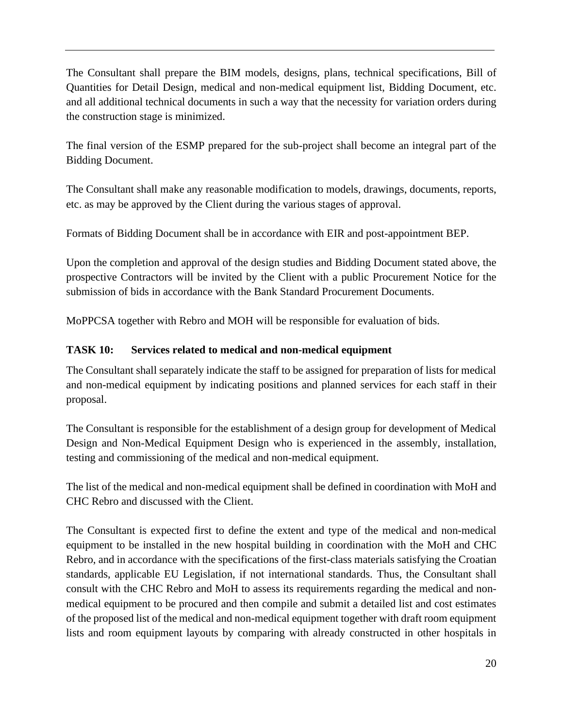The Consultant shall prepare the BIM models, designs, plans, technical specifications, Bill of Quantities for Detail Design, medical and non-medical equipment list, Bidding Document, etc. and all additional technical documents in such a way that the necessity for variation orders during the construction stage is minimized.

The final version of the ESMP prepared for the sub-project shall become an integral part of the Bidding Document.

The Consultant shall make any reasonable modification to models, drawings, documents, reports, etc. as may be approved by the Client during the various stages of approval.

Formats of Bidding Document shall be in accordance with EIR and post-appointment BEP.

Upon the completion and approval of the design studies and Bidding Document stated above, the prospective Contractors will be invited by the Client with a public Procurement Notice for the submission of bids in accordance with the Bank Standard Procurement Documents.

MoPPCSA together with Rebro and MOH will be responsible for evaluation of bids.

### **TASK 10: Services related to medical and non-medical equipment**

The Consultant shall separately indicate the staff to be assigned for preparation of lists for medical and non-medical equipment by indicating positions and planned services for each staff in their proposal.

The Consultant is responsible for the establishment of a design group for development of Medical Design and Non-Medical Equipment Design who is experienced in the assembly, installation, testing and commissioning of the medical and non-medical equipment.

The list of the medical and non-medical equipment shall be defined in coordination with MoH and CHC Rebro and discussed with the Client.

The Consultant is expected first to define the extent and type of the medical and non-medical equipment to be installed in the new hospital building in coordination with the MoH and CHC Rebro, and in accordance with the specifications of the first-class materials satisfying the Croatian standards, applicable EU Legislation, if not international standards. Thus, the Consultant shall consult with the CHC Rebro and MoH to assess its requirements regarding the medical and nonmedical equipment to be procured and then compile and submit a detailed list and cost estimates of the proposed list of the medical and non-medical equipment together with draft room equipment lists and room equipment layouts by comparing with already constructed in other hospitals in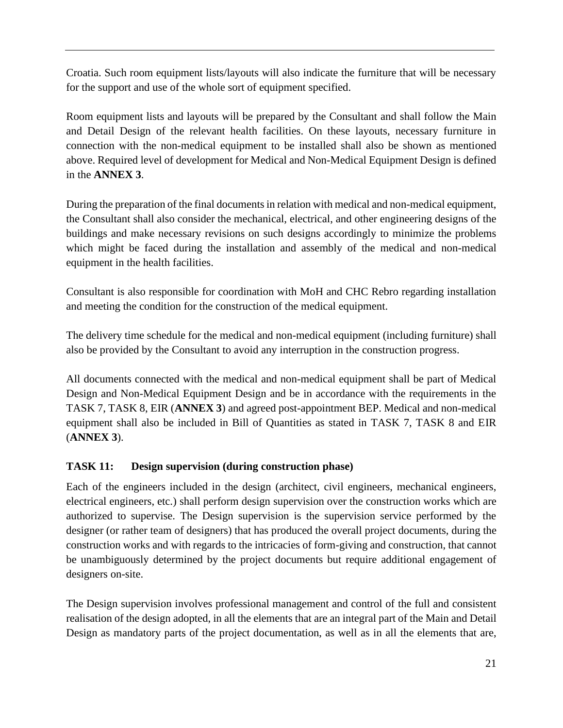Croatia. Such room equipment lists/layouts will also indicate the furniture that will be necessary for the support and use of the whole sort of equipment specified.

Room equipment lists and layouts will be prepared by the Consultant and shall follow the Main and Detail Design of the relevant health facilities. On these layouts, necessary furniture in connection with the non-medical equipment to be installed shall also be shown as mentioned above. Required level of development for Medical and Non-Medical Equipment Design is defined in the **ANNEX 3**.

During the preparation of the final documents in relation with medical and non-medical equipment, the Consultant shall also consider the mechanical, electrical, and other engineering designs of the buildings and make necessary revisions on such designs accordingly to minimize the problems which might be faced during the installation and assembly of the medical and non-medical equipment in the health facilities.

Consultant is also responsible for coordination with MoH and CHC Rebro regarding installation and meeting the condition for the construction of the medical equipment.

The delivery time schedule for the medical and non-medical equipment (including furniture) shall also be provided by the Consultant to avoid any interruption in the construction progress.

All documents connected with the medical and non-medical equipment shall be part of Medical Design and Non-Medical Equipment Design and be in accordance with the requirements in the TASK 7, TASK 8, EIR (**ANNEX 3**) and agreed post-appointment BEP. Medical and non-medical equipment shall also be included in Bill of Quantities as stated in TASK 7, TASK 8 and EIR (**ANNEX 3**).

# **TASK 11: Design supervision (during construction phase)**

Each of the engineers included in the design (architect, civil engineers, mechanical engineers, electrical engineers, etc.) shall perform design supervision over the construction works which are authorized to supervise. The Design supervision is the supervision service performed by the designer (or rather team of designers) that has produced the overall project documents, during the construction works and with regards to the intricacies of form-giving and construction, that cannot be unambiguously determined by the project documents but require additional engagement of designers on-site.

The Design supervision involves professional management and control of the full and consistent realisation of the design adopted, in all the elements that are an integral part of the Main and Detail Design as mandatory parts of the project documentation, as well as in all the elements that are,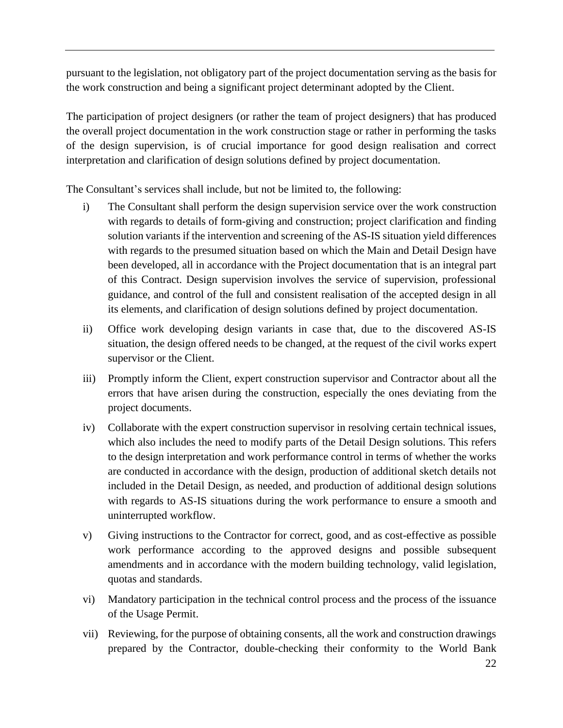pursuant to the legislation, not obligatory part of the project documentation serving as the basis for the work construction and being a significant project determinant adopted by the Client.

The participation of project designers (or rather the team of project designers) that has produced the overall project documentation in the work construction stage or rather in performing the tasks of the design supervision, is of crucial importance for good design realisation and correct interpretation and clarification of design solutions defined by project documentation.

The Consultant's services shall include, but not be limited to, the following:

- i) The Consultant shall perform the design supervision service over the work construction with regards to details of form-giving and construction; project clarification and finding solution variants if the intervention and screening of the AS-IS situation yield differences with regards to the presumed situation based on which the Main and Detail Design have been developed, all in accordance with the Project documentation that is an integral part of this Contract. Design supervision involves the service of supervision, professional guidance, and control of the full and consistent realisation of the accepted design in all its elements, and clarification of design solutions defined by project documentation.
- ii) Office work developing design variants in case that, due to the discovered AS-IS situation, the design offered needs to be changed, at the request of the civil works expert supervisor or the Client.
- iii) Promptly inform the Client, expert construction supervisor and Contractor about all the errors that have arisen during the construction, especially the ones deviating from the project documents.
- iv) Collaborate with the expert construction supervisor in resolving certain technical issues, which also includes the need to modify parts of the Detail Design solutions. This refers to the design interpretation and work performance control in terms of whether the works are conducted in accordance with the design, production of additional sketch details not included in the Detail Design, as needed, and production of additional design solutions with regards to AS-IS situations during the work performance to ensure a smooth and uninterrupted workflow.
- v) Giving instructions to the Contractor for correct, good, and as cost-effective as possible work performance according to the approved designs and possible subsequent amendments and in accordance with the modern building technology, valid legislation, quotas and standards.
- vi) Mandatory participation in the technical control process and the process of the issuance of the Usage Permit.
- vii) Reviewing, for the purpose of obtaining consents, all the work and construction drawings prepared by the Contractor, double-checking their conformity to the World Bank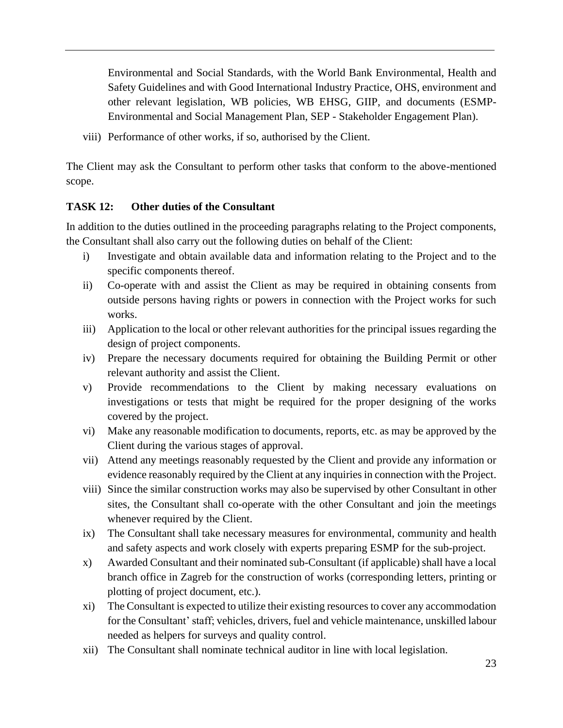Environmental and Social Standards, with the World Bank Environmental, Health and Safety Guidelines and with Good International Industry Practice, OHS, environment and other relevant legislation, WB policies, WB EHSG, GIIP, and documents (ESMP-Environmental and Social Management Plan, SEP - Stakeholder Engagement Plan).

viii) Performance of other works, if so, authorised by the Client.

The Client may ask the Consultant to perform other tasks that conform to the above-mentioned scope.

# **TASK 12: Other duties of the Consultant**

In addition to the duties outlined in the proceeding paragraphs relating to the Project components, the Consultant shall also carry out the following duties on behalf of the Client:

- i) Investigate and obtain available data and information relating to the Project and to the specific components thereof.
- ii) Co-operate with and assist the Client as may be required in obtaining consents from outside persons having rights or powers in connection with the Project works for such works.
- iii) Application to the local or other relevant authorities for the principal issues regarding the design of project components.
- iv) Prepare the necessary documents required for obtaining the Building Permit or other relevant authority and assist the Client.
- v) Provide recommendations to the Client by making necessary evaluations on investigations or tests that might be required for the proper designing of the works covered by the project.
- vi) Make any reasonable modification to documents, reports, etc. as may be approved by the Client during the various stages of approval.
- vii) Attend any meetings reasonably requested by the Client and provide any information or evidence reasonably required by the Client at any inquiries in connection with the Project.
- viii) Since the similar construction works may also be supervised by other Consultant in other sites, the Consultant shall co-operate with the other Consultant and join the meetings whenever required by the Client.
- ix) The Consultant shall take necessary measures for environmental, community and health and safety aspects and work closely with experts preparing ESMP for the sub-project.
- x) Awarded Consultant and their nominated sub-Consultant (if applicable) shall have a local branch office in Zagreb for the construction of works (corresponding letters, printing or plotting of project document, etc.).
- xi) The Consultant is expected to utilize their existing resources to cover any accommodation for the Consultant' staff; vehicles, drivers, fuel and vehicle maintenance, unskilled labour needed as helpers for surveys and quality control.
- xii) The Consultant shall nominate technical auditor in line with local legislation.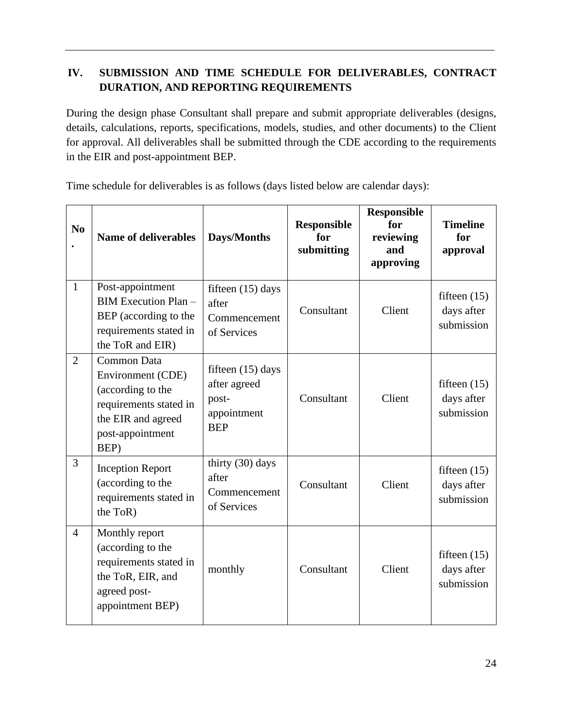# **IV. SUBMISSION AND TIME SCHEDULE FOR DELIVERABLES, CONTRACT DURATION, AND REPORTING REQUIREMENTS**

During the design phase Consultant shall prepare and submit appropriate deliverables (designs, details, calculations, reports, specifications, models, studies, and other documents) to the Client for approval. All deliverables shall be submitted through the CDE according to the requirements in the EIR and post-appointment BEP.

Time schedule for deliverables is as follows (days listed below are calendar days):

| N <sub>0</sub> | <b>Name of deliverables</b>                                                                                                              | Days/Months                                                               | <b>Responsible</b><br>for<br>submitting | <b>Responsible</b><br>for<br>reviewing<br>and<br>approving | <b>Timeline</b><br>for<br>approval         |
|----------------|------------------------------------------------------------------------------------------------------------------------------------------|---------------------------------------------------------------------------|-----------------------------------------|------------------------------------------------------------|--------------------------------------------|
| $\mathbf{1}$   | Post-appointment<br><b>BIM Execution Plan -</b><br>BEP (according to the<br>requirements stated in<br>the ToR and EIR)                   | fifteen $(15)$ days<br>after<br>Commencement<br>of Services               | Consultant                              | Client                                                     | fifteen $(15)$<br>days after<br>submission |
| $\overline{2}$ | <b>Common Data</b><br>Environment (CDE)<br>(according to the<br>requirements stated in<br>the EIR and agreed<br>post-appointment<br>BEP) | fifteen $(15)$ days<br>after agreed<br>post-<br>appointment<br><b>BEP</b> | Consultant                              | Client                                                     | fifteen $(15)$<br>days after<br>submission |
| 3              | <b>Inception Report</b><br>(according to the<br>requirements stated in<br>the ToR)                                                       | thirty (30) days<br>after<br>Commencement<br>of Services                  | Consultant                              | Client                                                     | fifteen $(15)$<br>days after<br>submission |
| $\overline{4}$ | Monthly report<br>(according to the<br>requirements stated in<br>the ToR, EIR, and<br>agreed post-<br>appointment BEP)                   | monthly                                                                   | Consultant                              | Client                                                     | fifteen $(15)$<br>days after<br>submission |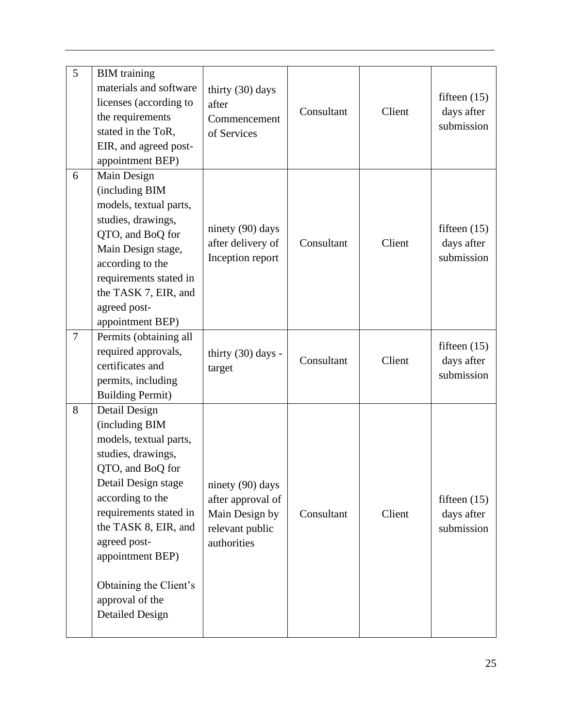| 5      | <b>BIM</b> training<br>materials and software<br>licenses (according to<br>the requirements<br>stated in the ToR,<br>EIR, and agreed post-<br>appointment BEP)                                                                                                                                              | thirty (30) days<br>after<br>Commencement<br>of Services                                  | Consultant | Client | fifteen $(15)$<br>days after<br>submission |
|--------|-------------------------------------------------------------------------------------------------------------------------------------------------------------------------------------------------------------------------------------------------------------------------------------------------------------|-------------------------------------------------------------------------------------------|------------|--------|--------------------------------------------|
| 6      | Main Design<br>(including BIM<br>models, textual parts,<br>studies, drawings,<br>QTO, and BoQ for<br>Main Design stage,<br>according to the<br>requirements stated in<br>the TASK 7, EIR, and<br>agreed post-<br>appointment BEP)                                                                           | ninety (90) days<br>after delivery of<br>Inception report                                 | Consultant | Client | fifteen $(15)$<br>days after<br>submission |
| $\tau$ | Permits (obtaining all<br>required approvals,<br>certificates and<br>permits, including<br><b>Building Permit)</b>                                                                                                                                                                                          | thirty $(30)$ days -<br>target                                                            | Consultant | Client | fifteen $(15)$<br>days after<br>submission |
| 8      | Detail Design<br>(including BIM<br>models, textual parts,<br>studies, drawings,<br>QTO, and BoQ for<br>Detail Design stage<br>according to the<br>requirements stated in<br>the TASK 8, EIR, and<br>agreed post-<br>appointment BEP)<br>Obtaining the Client's<br>approval of the<br><b>Detailed Design</b> | ninety (90) days<br>after approval of<br>Main Design by<br>relevant public<br>authorities | Consultant | Client | fifteen $(15)$<br>days after<br>submission |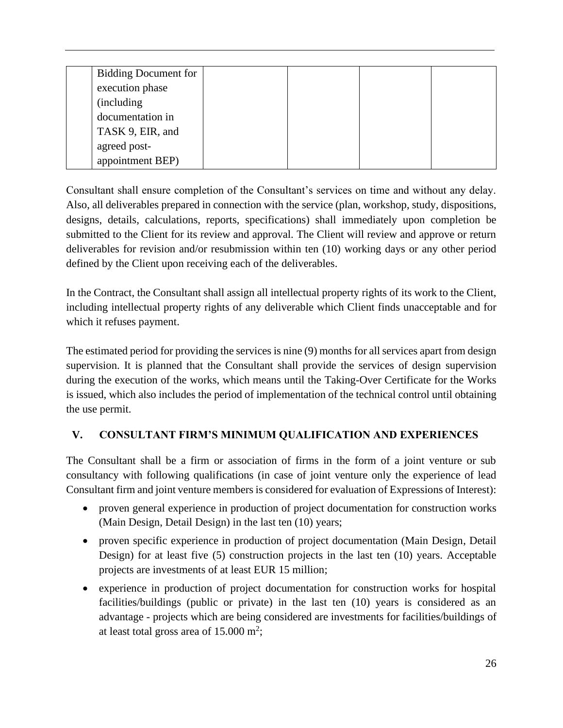| <b>Bidding Document for</b> |  |  |
|-----------------------------|--|--|
| execution phase             |  |  |
| (including                  |  |  |
| documentation in            |  |  |
| TASK 9, EIR, and            |  |  |
| agreed post-                |  |  |
| appointment BEP)            |  |  |

Consultant shall ensure completion of the Consultant's services on time and without any delay. Also, all deliverables prepared in connection with the service (plan, workshop, study, dispositions, designs, details, calculations, reports, specifications) shall immediately upon completion be submitted to the Client for its review and approval. The Client will review and approve or return deliverables for revision and/or resubmission within ten (10) working days or any other period defined by the Client upon receiving each of the deliverables.

In the Contract, the Consultant shall assign all intellectual property rights of its work to the Client, including intellectual property rights of any deliverable which Client finds unacceptable and for which it refuses payment.

The estimated period for providing the services is nine (9) months for all services apart from design supervision. It is planned that the Consultant shall provide the services of design supervision during the execution of the works, which means until the Taking-Over Certificate for the Works is issued, which also includes the period of implementation of the technical control until obtaining the use permit.

# **V. CONSULTANT FIRM'S MINIMUM QUALIFICATION AND EXPERIENCES**

The Consultant shall be a firm or association of firms in the form of a joint venture or sub consultancy with following qualifications (in case of joint venture only the experience of lead Consultant firm and joint venture members is considered for evaluation of Expressions of Interest):

- proven general experience in production of project documentation for construction works (Main Design, Detail Design) in the last ten (10) years;
- proven specific experience in production of project documentation (Main Design, Detail Design) for at least five (5) construction projects in the last ten (10) years. Acceptable projects are investments of at least EUR 15 million;
- experience in production of project documentation for construction works for hospital facilities/buildings (public or private) in the last ten (10) years is considered as an advantage - projects which are being considered are investments for facilities/buildings of at least total gross area of  $15.000 \text{ m}^2$ ;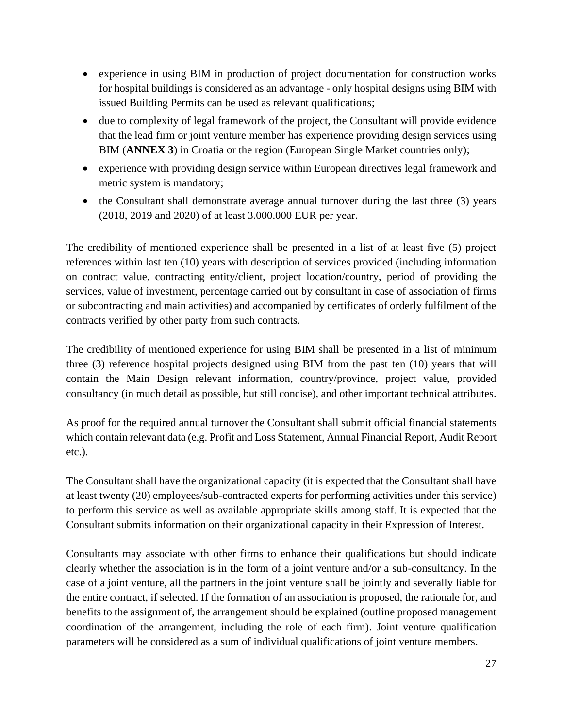- experience in using BIM in production of project documentation for construction works for hospital buildings is considered as an advantage - only hospital designs using BIM with issued Building Permits can be used as relevant qualifications;
- due to complexity of legal framework of the project, the Consultant will provide evidence that the lead firm or joint venture member has experience providing design services using BIM (**ANNEX 3**) in Croatia or the region (European Single Market countries only);
- experience with providing design service within European directives legal framework and metric system is mandatory;
- the Consultant shall demonstrate average annual turnover during the last three (3) years (2018, 2019 and 2020) of at least 3.000.000 EUR per year.

The credibility of mentioned experience shall be presented in a list of at least five (5) project references within last ten (10) years with description of services provided (including information on contract value, contracting entity/client, project location/country, period of providing the services, value of investment, percentage carried out by consultant in case of association of firms or subcontracting and main activities) and accompanied by certificates of orderly fulfilment of the contracts verified by other party from such contracts.

The credibility of mentioned experience for using BIM shall be presented in a list of minimum three (3) reference hospital projects designed using BIM from the past ten (10) years that will contain the Main Design relevant information, country/province, project value, provided consultancy (in much detail as possible, but still concise), and other important technical attributes.

As proof for the required annual turnover the Consultant shall submit official financial statements which contain relevant data (e.g. Profit and Loss Statement, Annual Financial Report, Audit Report etc.).

The Consultant shall have the organizational capacity (it is expected that the Consultant shall have at least twenty (20) employees/sub-contracted experts for performing activities under this service) to perform this service as well as available appropriate skills among staff. It is expected that the Consultant submits information on their organizational capacity in their Expression of Interest.

Consultants may associate with other firms to enhance their qualifications but should indicate clearly whether the association is in the form of a joint venture and/or a sub-consultancy. In the case of a joint venture, all the partners in the joint venture shall be jointly and severally liable for the entire contract, if selected. If the formation of an association is proposed, the rationale for, and benefits to the assignment of, the arrangement should be explained (outline proposed management coordination of the arrangement, including the role of each firm). Joint venture qualification parameters will be considered as a sum of individual qualifications of joint venture members.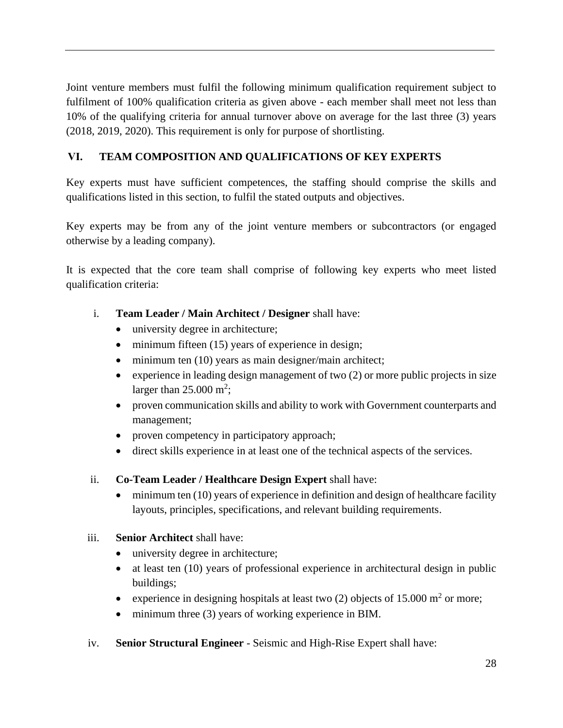Joint venture members must fulfil the following minimum qualification requirement subject to fulfilment of 100% qualification criteria as given above - each member shall meet not less than 10% of the qualifying criteria for annual turnover above on average for the last three (3) years (2018, 2019, 2020). This requirement is only for purpose of shortlisting.

# **VI. TEAM COMPOSITION AND QUALIFICATIONS OF KEY EXPERTS**

Key experts must have sufficient competences, the staffing should comprise the skills and qualifications listed in this section, to fulfil the stated outputs and objectives.

Key experts may be from any of the joint venture members or subcontractors (or engaged otherwise by a leading company).

It is expected that the core team shall comprise of following key experts who meet listed qualification criteria:

- i. **Team Leader / Main Architect / Designer** shall have:
	- university degree in architecture;
	- minimum fifteen (15) years of experience in design;
	- minimum ten (10) years as main designer/main architect;
	- experience in leading design management of two (2) or more public projects in size larger than  $25.000 \text{ m}^2$ ;
	- proven communication skills and ability to work with Government counterparts and management;
	- proven competency in participatory approach;
	- direct skills experience in at least one of the technical aspects of the services.
- ii. **Co-Team Leader / Healthcare Design Expert** shall have:
	- minimum ten (10) years of experience in definition and design of healthcare facility layouts, principles, specifications, and relevant building requirements.

#### iii. **Senior Architect** shall have:

- university degree in architecture;
- at least ten (10) years of professional experience in architectural design in public buildings;
- experience in designing hospitals at least two (2) objects of 15.000  $m<sup>2</sup>$  or more;
- minimum three (3) years of working experience in BIM.
- iv. **Senior Structural Engineer** Seismic and High-Rise Expert shall have: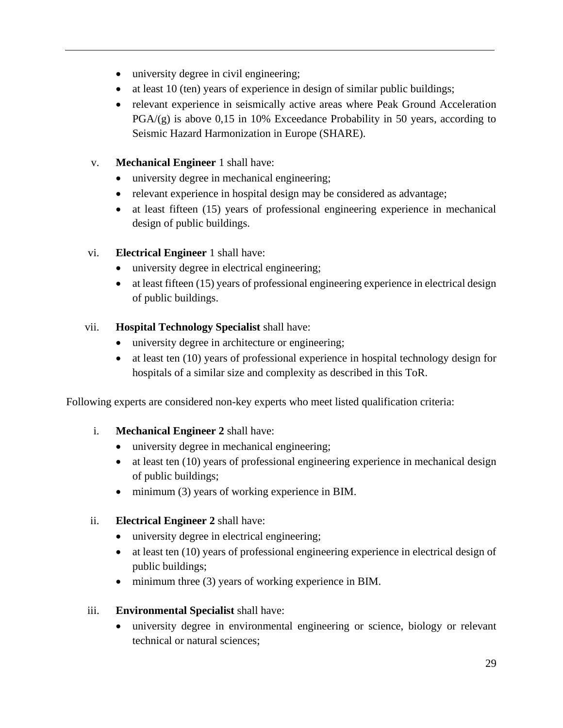- university degree in civil engineering;
- at least 10 (ten) years of experience in design of similar public buildings;
- relevant experience in seismically active areas where Peak Ground Acceleration  $PGA/(g)$  is above 0,15 in 10% Exceedance Probability in 50 years, according to Seismic Hazard Harmonization in Europe (SHARE).
- v. **Mechanical Engineer** 1 shall have:
	- university degree in mechanical engineering;
	- relevant experience in hospital design may be considered as advantage;
	- at least fifteen (15) years of professional engineering experience in mechanical design of public buildings.
- vi. **Electrical Engineer** 1 shall have:
	- university degree in electrical engineering;
	- at least fifteen (15) years of professional engineering experience in electrical design of public buildings.

# vii. **Hospital Technology Specialist** shall have:

- university degree in architecture or engineering;
- at least ten (10) years of professional experience in hospital technology design for hospitals of a similar size and complexity as described in this ToR.

Following experts are considered non-key experts who meet listed qualification criteria:

- i. **Mechanical Engineer 2** shall have:
	- university degree in mechanical engineering;
	- at least ten (10) years of professional engineering experience in mechanical design of public buildings;
	- minimum (3) years of working experience in BIM.
- ii. **Electrical Engineer 2** shall have:
	- university degree in electrical engineering;
	- at least ten (10) years of professional engineering experience in electrical design of public buildings;
	- minimum three (3) years of working experience in BIM.
- iii. **Environmental Specialist** shall have:
	- university degree in environmental engineering or science, biology or relevant technical or natural sciences;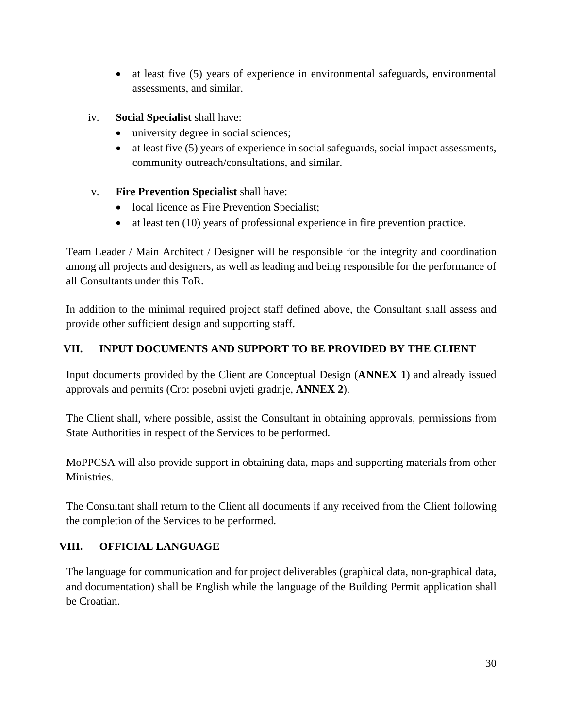- at least five (5) years of experience in environmental safeguards, environmental assessments, and similar.
- iv. **Social Specialist** shall have:
	- university degree in social sciences;
	- at least five (5) years of experience in social safeguards, social impact assessments, community outreach/consultations, and similar.
- v. **Fire Prevention Specialist** shall have:
	- local licence as Fire Prevention Specialist;
	- at least ten (10) years of professional experience in fire prevention practice.

Team Leader / Main Architect / Designer will be responsible for the integrity and coordination among all projects and designers, as well as leading and being responsible for the performance of all Consultants under this ToR.

In addition to the minimal required project staff defined above, the Consultant shall assess and provide other sufficient design and supporting staff.

### **VII. INPUT DOCUMENTS AND SUPPORT TO BE PROVIDED BY THE CLIENT**

Input documents provided by the Client are Conceptual Design (**ANNEX 1**) and already issued approvals and permits (Cro: posebni uvjeti gradnje, **ANNEX 2**).

The Client shall, where possible, assist the Consultant in obtaining approvals, permissions from State Authorities in respect of the Services to be performed.

MoPPCSA will also provide support in obtaining data, maps and supporting materials from other Ministries.

The Consultant shall return to the Client all documents if any received from the Client following the completion of the Services to be performed.

# **VIII. OFFICIAL LANGUAGE**

The language for communication and for project deliverables (graphical data, non-graphical data, and documentation) shall be English while the language of the Building Permit application shall be Croatian.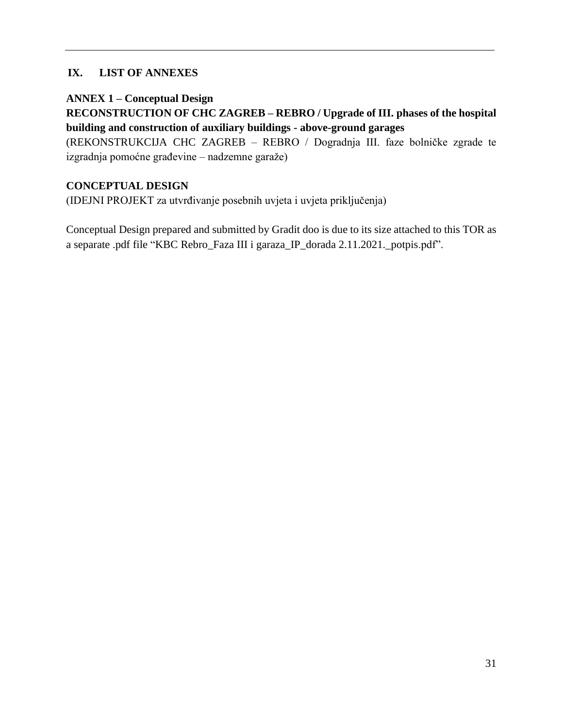### **IX. LIST OF ANNEXES**

**ANNEX 1 – Conceptual Design**

**RECONSTRUCTION OF CHC ZAGREB – REBRO / Upgrade of III. phases of the hospital building and construction of auxiliary buildings - above-ground garages**

(REKONSTRUKCIJA CHC ZAGREB – REBRO / Dogradnja III. faze bolničke zgrade te izgradnja pomoćne građevine – nadzemne garaže)

#### **CONCEPTUAL DESIGN**

(IDEJNI PROJEKT za utvrđivanje posebnih uvjeta i uvjeta priključenja)

Conceptual Design prepared and submitted by Gradit doo is due to its size attached to this TOR as a separate .pdf file "KBC Rebro\_Faza III i garaza\_IP\_dorada 2.11.2021.\_potpis.pdf".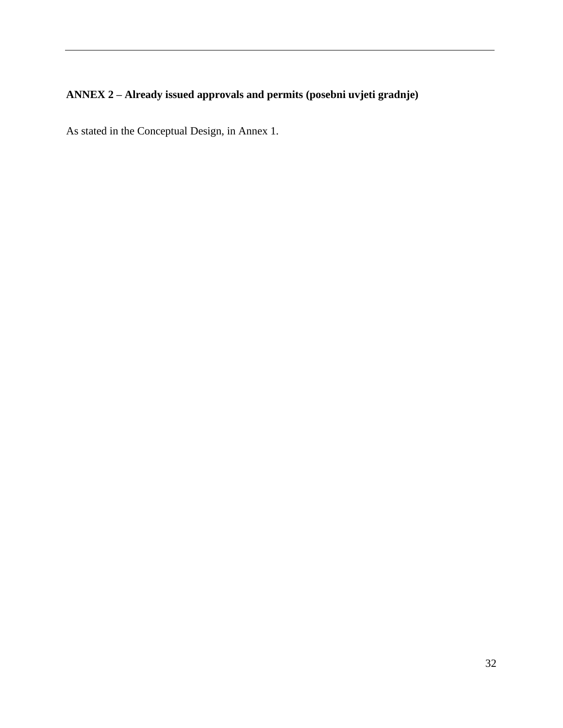# **ANNEX 2 – Already issued approvals and permits (posebni uvjeti gradnje)**

As stated in the Conceptual Design, in Annex 1.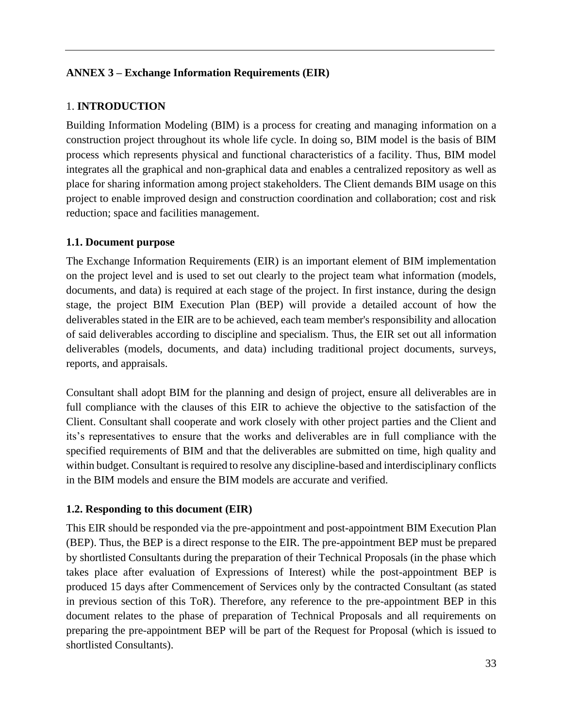### **ANNEX 3 – Exchange Information Requirements (EIR)**

### 1. **INTRODUCTION**

Building Information Modeling (BIM) is a process for creating and managing information on a construction project throughout its whole life cycle. In doing so, BIM model is the basis of BIM process which represents physical and functional characteristics of a facility. Thus, BIM model integrates all the graphical and non-graphical data and enables a centralized repository as well as place for sharing information among project stakeholders. The Client demands BIM usage on this project to enable improved design and construction coordination and collaboration; cost and risk reduction; space and facilities management.

#### **1.1. Document purpose**

The Exchange Information Requirements (EIR) is an important element of BIM implementation on the project level and is used to set out clearly to the project team what information (models, documents, and data) is required at each stage of the project. In first instance, during the design stage, the project BIM Execution Plan (BEP) will provide a detailed account of how the deliverables stated in the EIR are to be achieved, each team member's responsibility and allocation of said deliverables according to discipline and specialism. Thus, the EIR set out all information deliverables (models, documents, and data) including traditional project documents, surveys, reports, and appraisals.

Consultant shall adopt BIM for the planning and design of project, ensure all deliverables are in full compliance with the clauses of this EIR to achieve the objective to the satisfaction of the Client. Consultant shall cooperate and work closely with other project parties and the Client and its's representatives to ensure that the works and deliverables are in full compliance with the specified requirements of BIM and that the deliverables are submitted on time, high quality and within budget. Consultant is required to resolve any discipline-based and interdisciplinary conflicts in the BIM models and ensure the BIM models are accurate and verified.

#### **1.2. Responding to this document (EIR)**

This EIR should be responded via the pre-appointment and post-appointment BIM Execution Plan (BEP). Thus, the BEP is a direct response to the EIR. The pre-appointment BEP must be prepared by shortlisted Consultants during the preparation of their Technical Proposals (in the phase which takes place after evaluation of Expressions of Interest) while the post-appointment BEP is produced 15 days after Commencement of Services only by the contracted Consultant (as stated in previous section of this ToR). Therefore, any reference to the pre-appointment BEP in this document relates to the phase of preparation of Technical Proposals and all requirements on preparing the pre-appointment BEP will be part of the Request for Proposal (which is issued to shortlisted Consultants).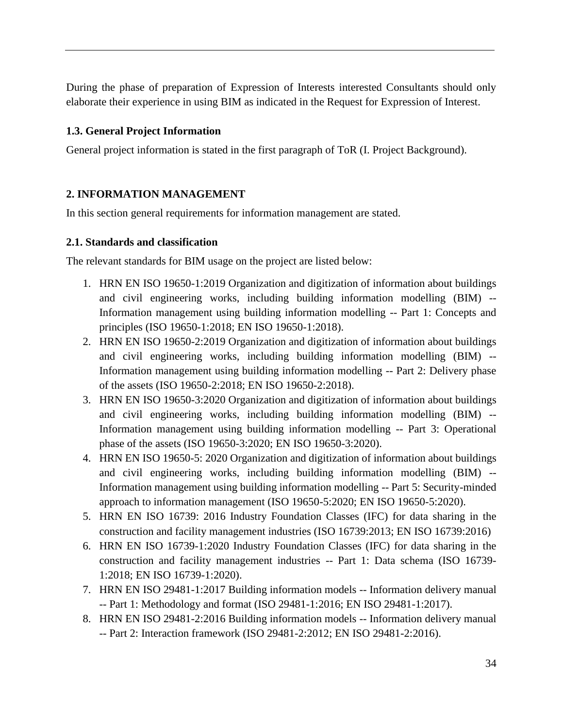During the phase of preparation of Expression of Interests interested Consultants should only elaborate their experience in using BIM as indicated in the Request for Expression of Interest.

#### **1.3. General Project Information**

General project information is stated in the first paragraph of ToR (I. Project Background).

#### **2. INFORMATION MANAGEMENT**

In this section general requirements for information management are stated.

#### **2.1. Standards and classification**

The relevant standards for BIM usage on the project are listed below:

- 1. HRN EN ISO 19650-1:2019 Organization and digitization of information about buildings and civil engineering works, including building information modelling (BIM) -- Information management using building information modelling -- Part 1: Concepts and principles (ISO 19650-1:2018; EN ISO 19650-1:2018).
- 2. HRN EN ISO 19650-2:2019 Organization and digitization of information about buildings and civil engineering works, including building information modelling (BIM) -- Information management using building information modelling -- Part 2: Delivery phase of the assets (ISO 19650-2:2018; EN ISO 19650-2:2018).
- 3. HRN EN ISO 19650-3:2020 Organization and digitization of information about buildings and civil engineering works, including building information modelling (BIM) -- Information management using building information modelling -- Part 3: Operational phase of the assets (ISO 19650-3:2020; EN ISO 19650-3:2020).
- 4. HRN EN ISO 19650-5: 2020 Organization and digitization of information about buildings and civil engineering works, including building information modelling (BIM) -- Information management using building information modelling -- Part 5: Security-minded approach to information management (ISO 19650-5:2020; EN ISO 19650-5:2020).
- 5. HRN EN ISO 16739: 2016 Industry Foundation Classes (IFC) for data sharing in the construction and facility management industries (ISO 16739:2013; EN ISO 16739:2016)
- 6. HRN EN ISO 16739-1:2020 Industry Foundation Classes (IFC) for data sharing in the construction and facility management industries -- Part 1: Data schema (ISO 16739- 1:2018; EN ISO 16739-1:2020).
- 7. HRN EN ISO 29481-1:2017 Building information models -- Information delivery manual -- Part 1: Methodology and format (ISO 29481-1:2016; EN ISO 29481-1:2017).
- 8. HRN EN ISO 29481-2:2016 Building information models -- Information delivery manual -- Part 2: Interaction framework (ISO 29481-2:2012; EN ISO 29481-2:2016).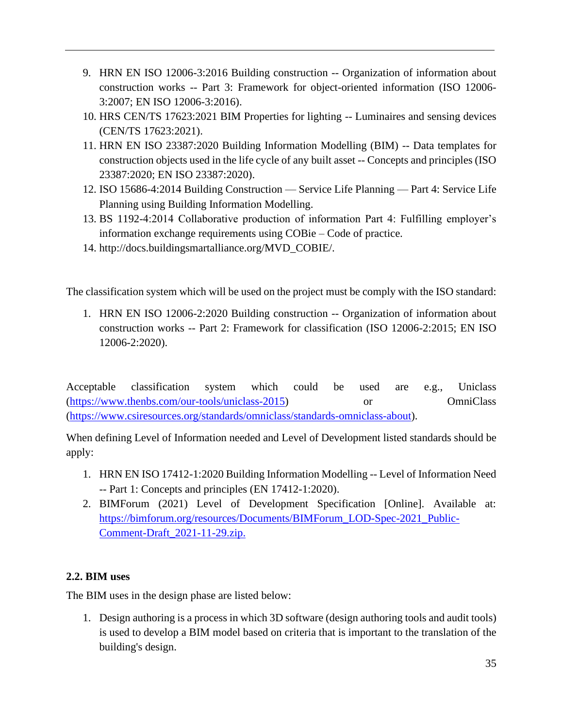- 9. HRN EN ISO 12006-3:2016 Building construction -- Organization of information about construction works -- Part 3: Framework for object-oriented information (ISO 12006- 3:2007; EN ISO 12006-3:2016).
- 10. HRS CEN/TS 17623:2021 BIM Properties for lighting -- Luminaires and sensing devices (CEN/TS 17623:2021).
- 11. HRN EN ISO 23387:2020 Building Information Modelling (BIM) -- Data templates for construction objects used in the life cycle of any built asset -- Concepts and principles (ISO 23387:2020; EN ISO 23387:2020).
- 12. ISO 15686-4:2014 Building Construction Service Life Planning Part 4: Service Life Planning using Building Information Modelling.
- 13. BS 1192-4:2014 Collaborative production of information Part 4: Fulfilling employer's information exchange requirements using COBie – Code of practice.
- 14. http://docs.buildingsmartalliance.org/MVD\_COBIE/.

The classification system which will be used on the project must be comply with the ISO standard:

1. HRN EN ISO 12006-2:2020 Building construction -- Organization of information about construction works -- Part 2: Framework for classification (ISO 12006-2:2015; EN ISO 12006-2:2020).

Acceptable classification system which could be used are e.g., Uniclass [\(https://www.thenbs.com/our-tools/uniclass-2015\)](https://www.thenbs.com/our-tools/uniclass-2015) or OmniClass [\(https://www.csiresources.org/standards/omniclass/standards-omniclass-about\)](https://www.csiresources.org/standards/omniclass/standards-omniclass-about).

When defining Level of Information needed and Level of Development listed standards should be apply:

- 1. HRN EN ISO 17412-1:2020 Building Information Modelling -- Level of Information Need -- Part 1: Concepts and principles (EN 17412-1:2020).
- 2. BIMForum (2021) Level of Development Specification [Online]. Available at: [https://bimforum.org/resources/Documents/BIMForum\\_LOD-Spec-2021\\_Public-](https://bimforum.org/resources/Documents/BIMForum_LOD-Spec-2021_Public-Comment-Draft_2021-11-29.zip)[Comment-Draft\\_2021-11-29.zip.](https://bimforum.org/resources/Documents/BIMForum_LOD-Spec-2021_Public-Comment-Draft_2021-11-29.zip)

# **2.2. BIM uses**

The BIM uses in the design phase are listed below:

1. Design authoring is a process in which 3D software (design authoring tools and audit tools) is used to develop a BIM model based on criteria that is important to the translation of the building's design.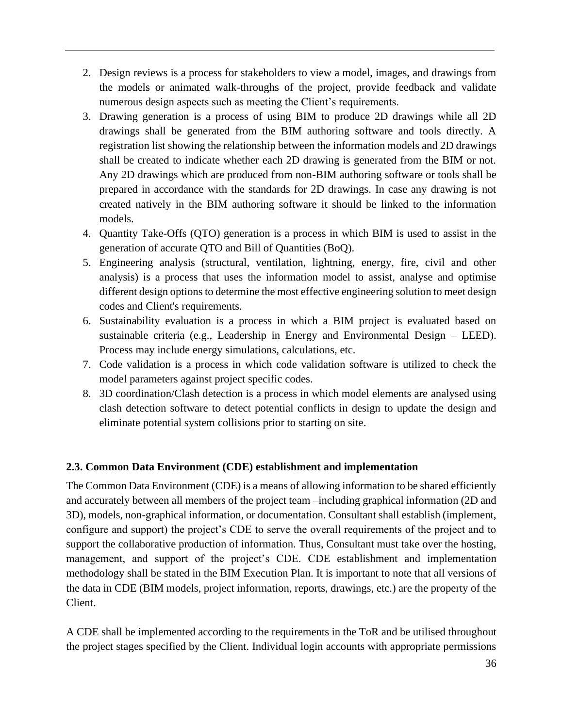- 2. Design reviews is a process for stakeholders to view a model, images, and drawings from the models or animated walk-throughs of the project, provide feedback and validate numerous design aspects such as meeting the Client's requirements.
- 3. Drawing generation is a process of using BIM to produce 2D drawings while all 2D drawings shall be generated from the BIM authoring software and tools directly. A registration list showing the relationship between the information models and 2D drawings shall be created to indicate whether each 2D drawing is generated from the BIM or not. Any 2D drawings which are produced from non-BIM authoring software or tools shall be prepared in accordance with the standards for 2D drawings. In case any drawing is not created natively in the BIM authoring software it should be linked to the information models.
- 4. Quantity Take-Offs (QTO) generation is a process in which BIM is used to assist in the generation of accurate QTO and Bill of Quantities (BoQ).
- 5. Engineering analysis (structural, ventilation, lightning, energy, fire, civil and other analysis) is a process that uses the information model to assist, analyse and optimise different design options to determine the most effective engineering solution to meet design codes and Client's requirements.
- 6. Sustainability evaluation is a process in which a BIM project is evaluated based on sustainable criteria (e.g., Leadership in Energy and Environmental Design – LEED). Process may include energy simulations, calculations, etc.
- 7. Code validation is a process in which code validation software is utilized to check the model parameters against project specific codes.
- 8. 3D coordination/Clash detection is a process in which model elements are analysed using clash detection software to detect potential conflicts in design to update the design and eliminate potential system collisions prior to starting on site.

# **2.3. Common Data Environment (CDE) establishment and implementation**

The Common Data Environment (CDE) is a means of allowing information to be shared efficiently and accurately between all members of the project team –including graphical information (2D and 3D), models, non-graphical information, or documentation. Consultant shall establish (implement, configure and support) the project's CDE to serve the overall requirements of the project and to support the collaborative production of information. Thus, Consultant must take over the hosting, management, and support of the project's CDE. CDE establishment and implementation methodology shall be stated in the BIM Execution Plan. It is important to note that all versions of the data in CDE (BIM models, project information, reports, drawings, etc.) are the property of the Client.

A CDE shall be implemented according to the requirements in the ToR and be utilised throughout the project stages specified by the Client. Individual login accounts with appropriate permissions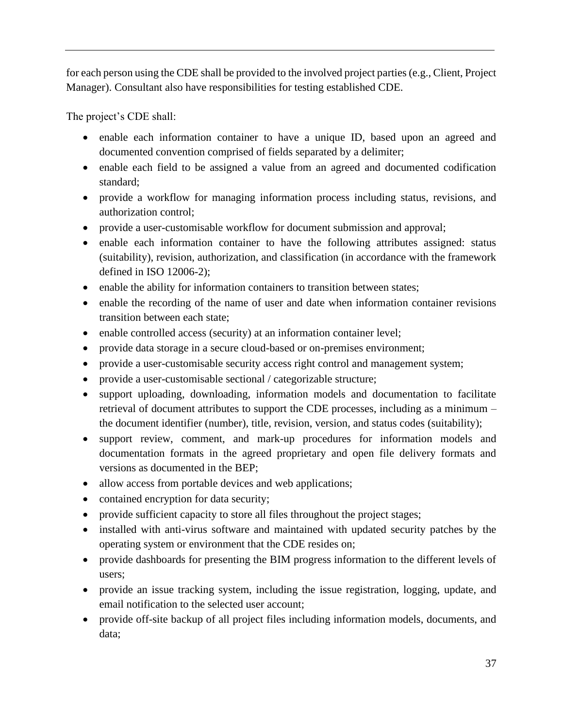for each person using the CDE shall be provided to the involved project parties (e.g., Client, Project Manager). Consultant also have responsibilities for testing established CDE.

The project's CDE shall:

- enable each information container to have a unique ID, based upon an agreed and documented convention comprised of fields separated by a delimiter;
- enable each field to be assigned a value from an agreed and documented codification standard;
- provide a workflow for managing information process including status, revisions, and authorization control;
- provide a user-customisable workflow for document submission and approval;
- enable each information container to have the following attributes assigned: status (suitability), revision, authorization, and classification (in accordance with the framework defined in ISO 12006-2);
- enable the ability for information containers to transition between states;
- enable the recording of the name of user and date when information container revisions transition between each state;
- enable controlled access (security) at an information container level;
- provide data storage in a secure cloud-based or on-premises environment;
- provide a user-customisable security access right control and management system;
- provide a user-customisable sectional / categorizable structure;
- support uploading, downloading, information models and documentation to facilitate retrieval of document attributes to support the CDE processes, including as a minimum – the document identifier (number), title, revision, version, and status codes (suitability);
- support review, comment, and mark-up procedures for information models and documentation formats in the agreed proprietary and open file delivery formats and versions as documented in the BEP;
- allow access from portable devices and web applications;
- contained encryption for data security;
- provide sufficient capacity to store all files throughout the project stages;
- installed with anti-virus software and maintained with updated security patches by the operating system or environment that the CDE resides on;
- provide dashboards for presenting the BIM progress information to the different levels of users;
- provide an issue tracking system, including the issue registration, logging, update, and email notification to the selected user account;
- provide off-site backup of all project files including information models, documents, and data;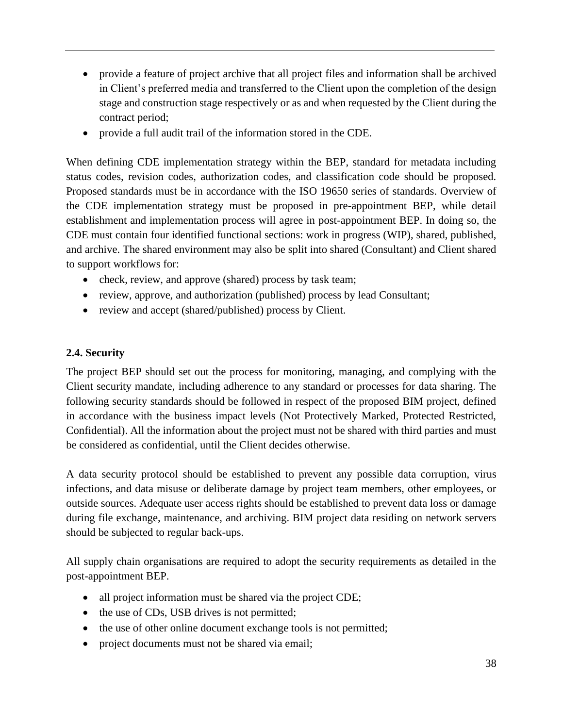- provide a feature of project archive that all project files and information shall be archived in Client's preferred media and transferred to the Client upon the completion of the design stage and construction stage respectively or as and when requested by the Client during the contract period;
- provide a full audit trail of the information stored in the CDE.

When defining CDE implementation strategy within the BEP, standard for metadata including status codes, revision codes, authorization codes, and classification code should be proposed. Proposed standards must be in accordance with the ISO 19650 series of standards. Overview of the CDE implementation strategy must be proposed in pre-appointment BEP, while detail establishment and implementation process will agree in post-appointment BEP. In doing so, the CDE must contain four identified functional sections: work in progress (WIP), shared, published, and archive. The shared environment may also be split into shared (Consultant) and Client shared to support workflows for:

- check, review, and approve (shared) process by task team;
- review, approve, and authorization (published) process by lead Consultant;
- review and accept (shared/published) process by Client.

#### **2.4. Security**

The project BEP should set out the process for monitoring, managing, and complying with the Client security mandate, including adherence to any standard or processes for data sharing. The following security standards should be followed in respect of the proposed BIM project, defined in accordance with the business impact levels (Not Protectively Marked, Protected Restricted, Confidential). All the information about the project must not be shared with third parties and must be considered as confidential, until the Client decides otherwise.

A data security protocol should be established to prevent any possible data corruption, virus infections, and data misuse or deliberate damage by project team members, other employees, or outside sources. Adequate user access rights should be established to prevent data loss or damage during file exchange, maintenance, and archiving. BIM project data residing on network servers should be subjected to regular back-ups.

All supply chain organisations are required to adopt the security requirements as detailed in the post-appointment BEP.

- all project information must be shared via the project CDE;
- the use of CDs, USB drives is not permitted;
- the use of other online document exchange tools is not permitted;
- project documents must not be shared via email;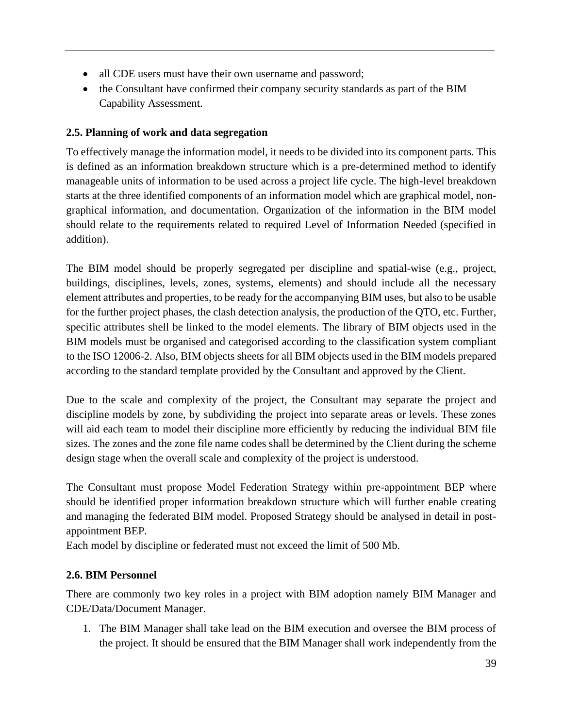- all CDE users must have their own username and password;
- the Consultant have confirmed their company security standards as part of the BIM Capability Assessment.

# **2.5. Planning of work and data segregation**

To effectively manage the information model, it needs to be divided into its component parts. This is defined as an information breakdown structure which is a pre-determined method to identify manageable units of information to be used across a project life cycle. The high-level breakdown starts at the three identified components of an information model which are graphical model, nongraphical information, and documentation. Organization of the information in the BIM model should relate to the requirements related to required Level of Information Needed (specified in addition).

The BIM model should be properly segregated per discipline and spatial-wise (e.g., project, buildings, disciplines, levels, zones, systems, elements) and should include all the necessary element attributes and properties, to be ready for the accompanying BIM uses, but also to be usable for the further project phases, the clash detection analysis, the production of the QTO, etc. Further, specific attributes shell be linked to the model elements. The library of BIM objects used in the BIM models must be organised and categorised according to the classification system compliant to the ISO 12006-2. Also, BIM objects sheets for all BIM objects used in the BIM models prepared according to the standard template provided by the Consultant and approved by the Client.

Due to the scale and complexity of the project, the Consultant may separate the project and discipline models by zone, by subdividing the project into separate areas or levels. These zones will aid each team to model their discipline more efficiently by reducing the individual BIM file sizes. The zones and the zone file name codes shall be determined by the Client during the scheme design stage when the overall scale and complexity of the project is understood.

The Consultant must propose Model Federation Strategy within pre-appointment BEP where should be identified proper information breakdown structure which will further enable creating and managing the federated BIM model. Proposed Strategy should be analysed in detail in postappointment BEP.

Each model by discipline or federated must not exceed the limit of 500 Mb.

# **2.6. BIM Personnel**

There are commonly two key roles in a project with BIM adoption namely BIM Manager and CDE/Data/Document Manager.

1. The BIM Manager shall take lead on the BIM execution and oversee the BIM process of the project. It should be ensured that the BIM Manager shall work independently from the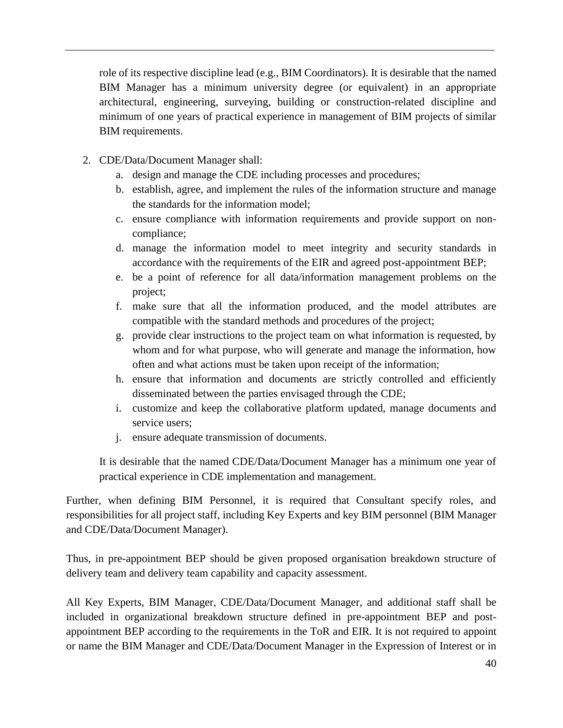role of its respective discipline lead (e.g., BIM Coordinators). It is desirable that the named BIM Manager has a minimum university degree (or equivalent) in an appropriate architectural, engineering, surveying, building or construction-related discipline and minimum of one years of practical experience in management of BIM projects of similar BIM requirements.

- 2. CDE/Data/Document Manager shall:
	- a. design and manage the CDE including processes and procedures;
	- b. establish, agree, and implement the rules of the information structure and manage the standards for the information model;
	- c. ensure compliance with information requirements and provide support on noncompliance;
	- d. manage the information model to meet integrity and security standards in accordance with the requirements of the EIR and agreed post-appointment BEP;
	- e. be a point of reference for all data/information management problems on the project;
	- f. make sure that all the information produced, and the model attributes are compatible with the standard methods and procedures of the project;
	- g. provide clear instructions to the project team on what information is requested, by whom and for what purpose, who will generate and manage the information, how often and what actions must be taken upon receipt of the information;
	- h. ensure that information and documents are strictly controlled and efficiently disseminated between the parties envisaged through the CDE;
	- i. customize and keep the collaborative platform updated, manage documents and service users;
	- j. ensure adequate transmission of documents.

It is desirable that the named CDE/Data/Document Manager has a minimum one year of practical experience in CDE implementation and management.

Further, when defining BIM Personnel, it is required that Consultant specify roles, and responsibilities for all project staff, including Key Experts and key BIM personnel (BIM Manager and CDE/Data/Document Manager).

Thus, in pre-appointment BEP should be given proposed organisation breakdown structure of delivery team and delivery team capability and capacity assessment.

All Key Experts, BIM Manager, CDE/Data/Document Manager, and additional staff shall be included in organizational breakdown structure defined in pre-appointment BEP and postappointment BEP according to the requirements in the ToR and EIR. It is not required to appoint or name the BIM Manager and CDE/Data/Document Manager in the Expression of Interest or in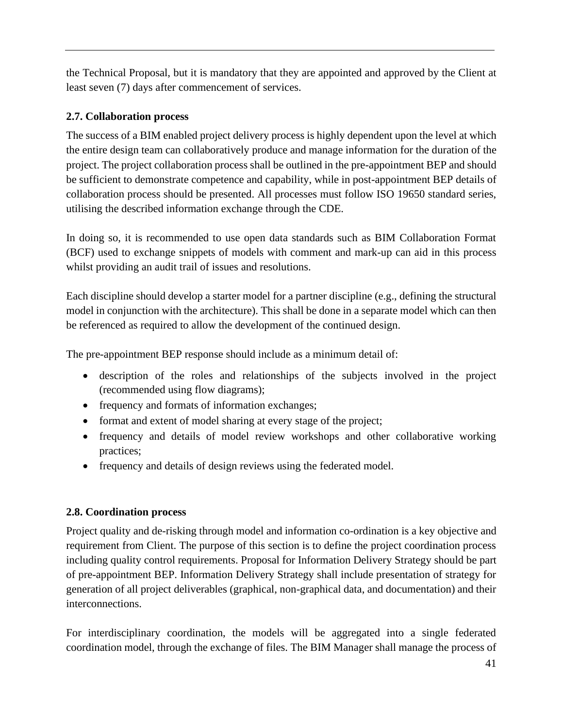the Technical Proposal, but it is mandatory that they are appointed and approved by the Client at least seven (7) days after commencement of services.

# **2.7. Collaboration process**

The success of a BIM enabled project delivery process is highly dependent upon the level at which the entire design team can collaboratively produce and manage information for the duration of the project. The project collaboration process shall be outlined in the pre-appointment BEP and should be sufficient to demonstrate competence and capability, while in post-appointment BEP details of collaboration process should be presented. All processes must follow ISO 19650 standard series, utilising the described information exchange through the CDE.

In doing so, it is recommended to use open data standards such as BIM Collaboration Format (BCF) used to exchange snippets of models with comment and mark-up can aid in this process whilst providing an audit trail of issues and resolutions.

Each discipline should develop a starter model for a partner discipline (e.g., defining the structural model in conjunction with the architecture). This shall be done in a separate model which can then be referenced as required to allow the development of the continued design.

The pre-appointment BEP response should include as a minimum detail of:

- description of the roles and relationships of the subjects involved in the project (recommended using flow diagrams);
- frequency and formats of information exchanges;
- format and extent of model sharing at every stage of the project;
- frequency and details of model review workshops and other collaborative working practices;
- frequency and details of design reviews using the federated model.

# **2.8. Coordination process**

Project quality and de-risking through model and information co-ordination is a key objective and requirement from Client. The purpose of this section is to define the project coordination process including quality control requirements. Proposal for Information Delivery Strategy should be part of pre-appointment BEP. Information Delivery Strategy shall include presentation of strategy for generation of all project deliverables (graphical, non-graphical data, and documentation) and their interconnections.

For interdisciplinary coordination, the models will be aggregated into a single federated coordination model, through the exchange of files. The BIM Manager shall manage the process of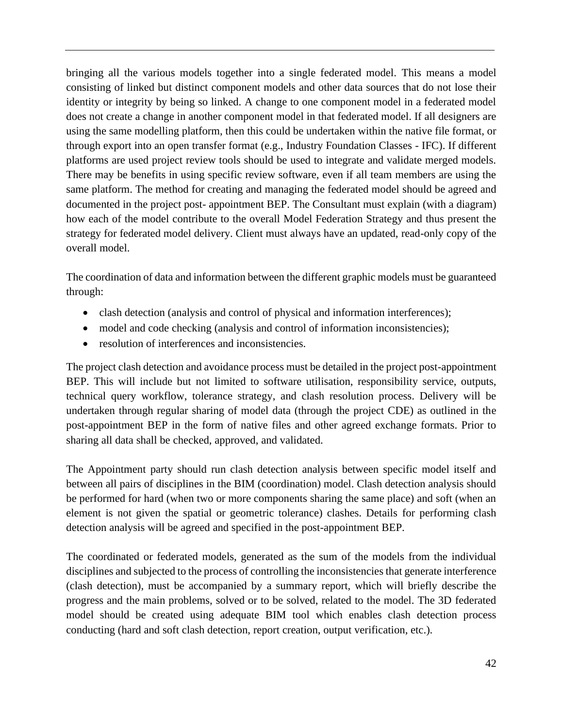bringing all the various models together into a single federated model. This means a model consisting of linked but distinct component models and other data sources that do not lose their identity or integrity by being so linked. A change to one component model in a federated model does not create a change in another component model in that federated model. If all designers are using the same modelling platform, then this could be undertaken within the native file format, or through export into an open transfer format (e.g., Industry Foundation Classes - IFC). If different platforms are used project review tools should be used to integrate and validate merged models. There may be benefits in using specific review software, even if all team members are using the same platform. The method for creating and managing the federated model should be agreed and documented in the project post- appointment BEP. The Consultant must explain (with a diagram) how each of the model contribute to the overall Model Federation Strategy and thus present the strategy for federated model delivery. Client must always have an updated, read-only copy of the overall model.

The coordination of data and information between the different graphic models must be guaranteed through:

- clash detection (analysis and control of physical and information interferences);
- model and code checking (analysis and control of information inconsistencies);
- resolution of interferences and inconsistencies.

The project clash detection and avoidance process must be detailed in the project post-appointment BEP. This will include but not limited to software utilisation, responsibility service, outputs, technical query workflow, tolerance strategy, and clash resolution process. Delivery will be undertaken through regular sharing of model data (through the project CDE) as outlined in the post-appointment BEP in the form of native files and other agreed exchange formats. Prior to sharing all data shall be checked, approved, and validated.

The Appointment party should run clash detection analysis between specific model itself and between all pairs of disciplines in the BIM (coordination) model. Clash detection analysis should be performed for hard (when two or more components sharing the same place) and soft (when an element is not given the spatial or geometric tolerance) clashes. Details for performing clash detection analysis will be agreed and specified in the post-appointment BEP.

The coordinated or federated models, generated as the sum of the models from the individual disciplines and subjected to the process of controlling the inconsistencies that generate interference (clash detection), must be accompanied by a summary report, which will briefly describe the progress and the main problems, solved or to be solved, related to the model. The 3D federated model should be created using adequate BIM tool which enables clash detection process conducting (hard and soft clash detection, report creation, output verification, etc.).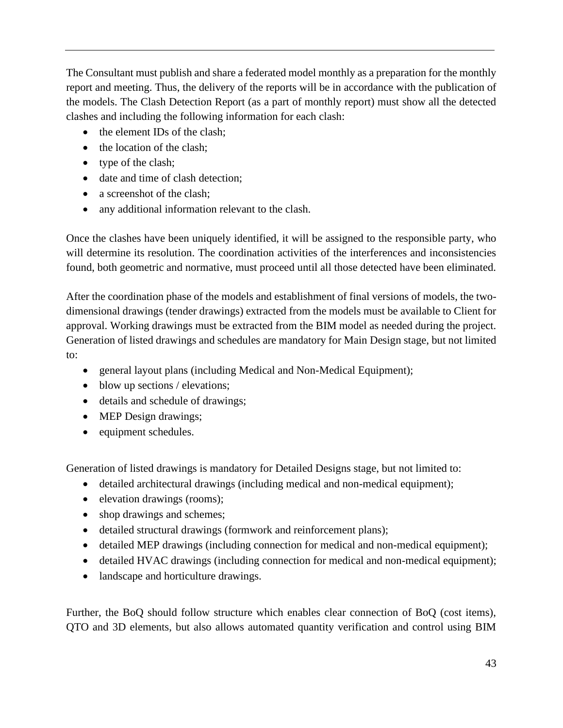The Consultant must publish and share a federated model monthly as a preparation for the monthly report and meeting. Thus, the delivery of the reports will be in accordance with the publication of the models. The Clash Detection Report (as a part of monthly report) must show all the detected clashes and including the following information for each clash:

- the element IDs of the clash;
- the location of the clash;
- type of the clash;
- date and time of clash detection;
- a screenshot of the clash:
- any additional information relevant to the clash.

Once the clashes have been uniquely identified, it will be assigned to the responsible party, who will determine its resolution. The coordination activities of the interferences and inconsistencies found, both geometric and normative, must proceed until all those detected have been eliminated.

After the coordination phase of the models and establishment of final versions of models, the twodimensional drawings (tender drawings) extracted from the models must be available to Client for approval. Working drawings must be extracted from the BIM model as needed during the project. Generation of listed drawings and schedules are mandatory for Main Design stage, but not limited to:

- general layout plans (including Medical and Non-Medical Equipment);
- blow up sections / elevations;
- details and schedule of drawings;
- MEP Design drawings;
- equipment schedules.

Generation of listed drawings is mandatory for Detailed Designs stage, but not limited to:

- detailed architectural drawings (including medical and non-medical equipment);
- elevation drawings (rooms);
- shop drawings and schemes;
- detailed structural drawings (formwork and reinforcement plans);
- detailed MEP drawings (including connection for medical and non-medical equipment);
- detailed HVAC drawings (including connection for medical and non-medical equipment);
- landscape and horticulture drawings.

Further, the BoQ should follow structure which enables clear connection of BoQ (cost items), QTO and 3D elements, but also allows automated quantity verification and control using BIM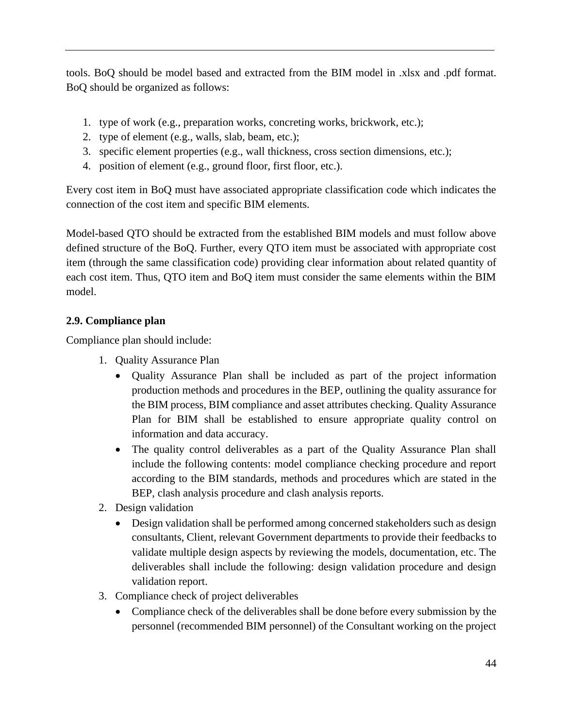tools. BoQ should be model based and extracted from the BIM model in .xlsx and .pdf format. BoQ should be organized as follows:

- 1. type of work (e.g., preparation works, concreting works, brickwork, etc.);
- 2. type of element (e.g., walls, slab, beam, etc.);
- 3. specific element properties (e.g., wall thickness, cross section dimensions, etc.);
- 4. position of element (e.g., ground floor, first floor, etc.).

Every cost item in BoQ must have associated appropriate classification code which indicates the connection of the cost item and specific BIM elements.

Model-based QTO should be extracted from the established BIM models and must follow above defined structure of the BoQ. Further, every QTO item must be associated with appropriate cost item (through the same classification code) providing clear information about related quantity of each cost item. Thus, QTO item and BoQ item must consider the same elements within the BIM model.

# **2.9. Compliance plan**

Compliance plan should include:

- 1. Quality Assurance Plan
	- Quality Assurance Plan shall be included as part of the project information production methods and procedures in the BEP, outlining the quality assurance for the BIM process, BIM compliance and asset attributes checking. Quality Assurance Plan for BIM shall be established to ensure appropriate quality control on information and data accuracy.
	- The quality control deliverables as a part of the Quality Assurance Plan shall include the following contents: model compliance checking procedure and report according to the BIM standards, methods and procedures which are stated in the BEP, clash analysis procedure and clash analysis reports.
- 2. Design validation
	- Design validation shall be performed among concerned stakeholders such as design consultants, Client, relevant Government departments to provide their feedbacks to validate multiple design aspects by reviewing the models, documentation, etc. The deliverables shall include the following: design validation procedure and design validation report.
- 3. Compliance check of project deliverables
	- Compliance check of the deliverables shall be done before every submission by the personnel (recommended BIM personnel) of the Consultant working on the project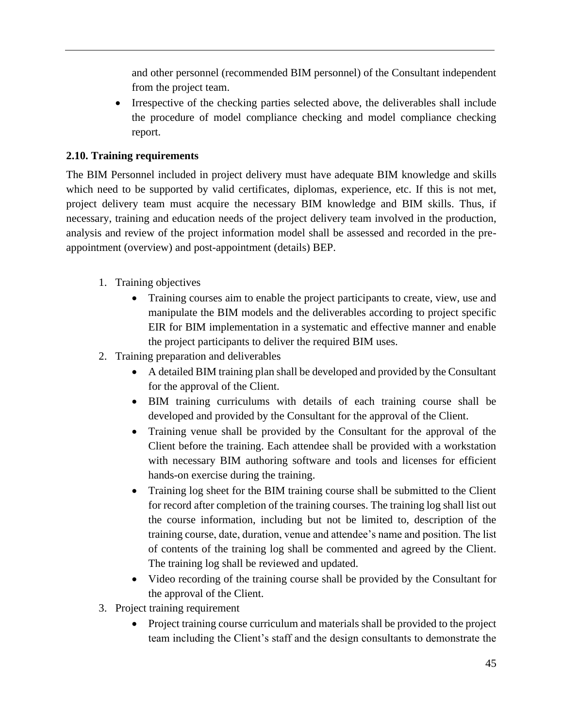and other personnel (recommended BIM personnel) of the Consultant independent from the project team.

• Irrespective of the checking parties selected above, the deliverables shall include the procedure of model compliance checking and model compliance checking report.

# **2.10. Training requirements**

The BIM Personnel included in project delivery must have adequate BIM knowledge and skills which need to be supported by valid certificates, diplomas, experience, etc. If this is not met, project delivery team must acquire the necessary BIM knowledge and BIM skills. Thus, if necessary, training and education needs of the project delivery team involved in the production, analysis and review of the project information model shall be assessed and recorded in the preappointment (overview) and post-appointment (details) BEP.

- 1. Training objectives
	- Training courses aim to enable the project participants to create, view, use and manipulate the BIM models and the deliverables according to project specific EIR for BIM implementation in a systematic and effective manner and enable the project participants to deliver the required BIM uses.
- 2. Training preparation and deliverables
	- A detailed BIM training plan shall be developed and provided by the Consultant for the approval of the Client.
	- BIM training curriculums with details of each training course shall be developed and provided by the Consultant for the approval of the Client.
	- Training venue shall be provided by the Consultant for the approval of the Client before the training. Each attendee shall be provided with a workstation with necessary BIM authoring software and tools and licenses for efficient hands-on exercise during the training.
	- Training log sheet for the BIM training course shall be submitted to the Client for record after completion of the training courses. The training log shall list out the course information, including but not be limited to, description of the training course, date, duration, venue and attendee's name and position. The list of contents of the training log shall be commented and agreed by the Client. The training log shall be reviewed and updated.
	- Video recording of the training course shall be provided by the Consultant for the approval of the Client.
- 3. Project training requirement
	- Project training course curriculum and materials shall be provided to the project team including the Client's staff and the design consultants to demonstrate the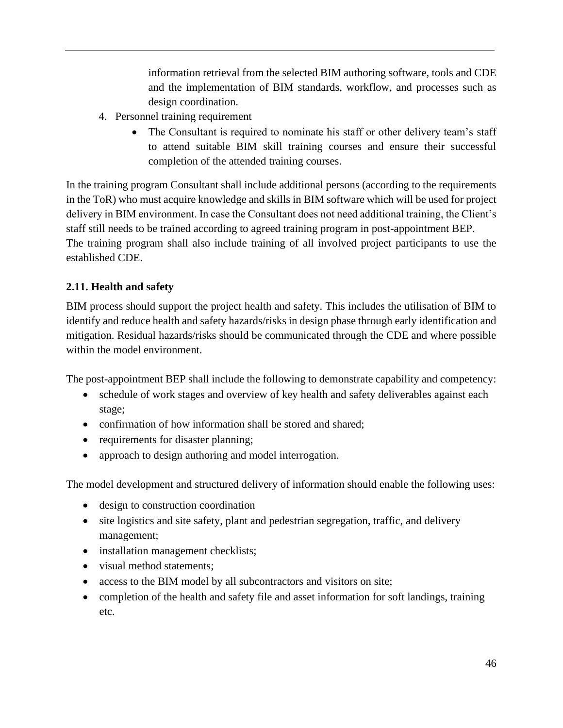information retrieval from the selected BIM authoring software, tools and CDE and the implementation of BIM standards, workflow, and processes such as design coordination.

- 4. Personnel training requirement
	- The Consultant is required to nominate his staff or other delivery team's staff to attend suitable BIM skill training courses and ensure their successful completion of the attended training courses.

In the training program Consultant shall include additional persons (according to the requirements in the ToR) who must acquire knowledge and skills in BIM software which will be used for project delivery in BIM environment. In case the Consultant does not need additional training, the Client's staff still needs to be trained according to agreed training program in post-appointment BEP. The training program shall also include training of all involved project participants to use the established CDE.

# **2.11. Health and safety**

BIM process should support the project health and safety. This includes the utilisation of BIM to identify and reduce health and safety hazards/risks in design phase through early identification and mitigation. Residual hazards/risks should be communicated through the CDE and where possible within the model environment.

The post-appointment BEP shall include the following to demonstrate capability and competency:

- schedule of work stages and overview of key health and safety deliverables against each stage;
- confirmation of how information shall be stored and shared;
- requirements for disaster planning;
- approach to design authoring and model interrogation.

The model development and structured delivery of information should enable the following uses:

- design to construction coordination
- site logistics and site safety, plant and pedestrian segregation, traffic, and delivery management;
- installation management checklists;
- visual method statements:
- access to the BIM model by all subcontractors and visitors on site;
- completion of the health and safety file and asset information for soft landings, training etc.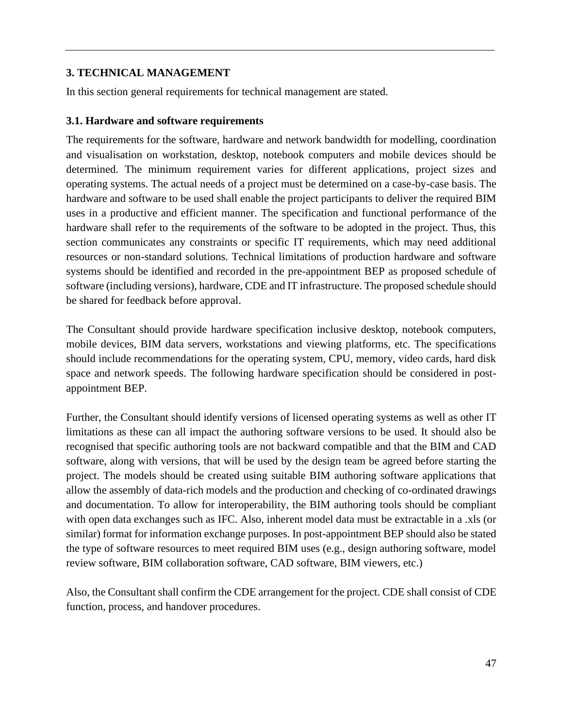### **3. TECHNICAL MANAGEMENT**

In this section general requirements for technical management are stated.

#### **3.1. Hardware and software requirements**

The requirements for the software, hardware and network bandwidth for modelling, coordination and visualisation on workstation, desktop, notebook computers and mobile devices should be determined. The minimum requirement varies for different applications, project sizes and operating systems. The actual needs of a project must be determined on a case-by-case basis. The hardware and software to be used shall enable the project participants to deliver the required BIM uses in a productive and efficient manner. The specification and functional performance of the hardware shall refer to the requirements of the software to be adopted in the project. Thus, this section communicates any constraints or specific IT requirements, which may need additional resources or non-standard solutions. Technical limitations of production hardware and software systems should be identified and recorded in the pre-appointment BEP as proposed schedule of software (including versions), hardware, CDE and IT infrastructure. The proposed schedule should be shared for feedback before approval.

The Consultant should provide hardware specification inclusive desktop, notebook computers, mobile devices, BIM data servers, workstations and viewing platforms, etc. The specifications should include recommendations for the operating system, CPU, memory, video cards, hard disk space and network speeds. The following hardware specification should be considered in postappointment BEP.

Further, the Consultant should identify versions of licensed operating systems as well as other IT limitations as these can all impact the authoring software versions to be used. It should also be recognised that specific authoring tools are not backward compatible and that the BIM and CAD software, along with versions, that will be used by the design team be agreed before starting the project. The models should be created using suitable BIM authoring software applications that allow the assembly of data-rich models and the production and checking of co-ordinated drawings and documentation. To allow for interoperability, the BIM authoring tools should be compliant with open data exchanges such as IFC. Also, inherent model data must be extractable in a .xls (or similar) format for information exchange purposes. In post-appointment BEP should also be stated the type of software resources to meet required BIM uses (e.g., design authoring software, model review software, BIM collaboration software, CAD software, BIM viewers, etc.)

Also, the Consultant shall confirm the CDE arrangement for the project. CDE shall consist of CDE function, process, and handover procedures.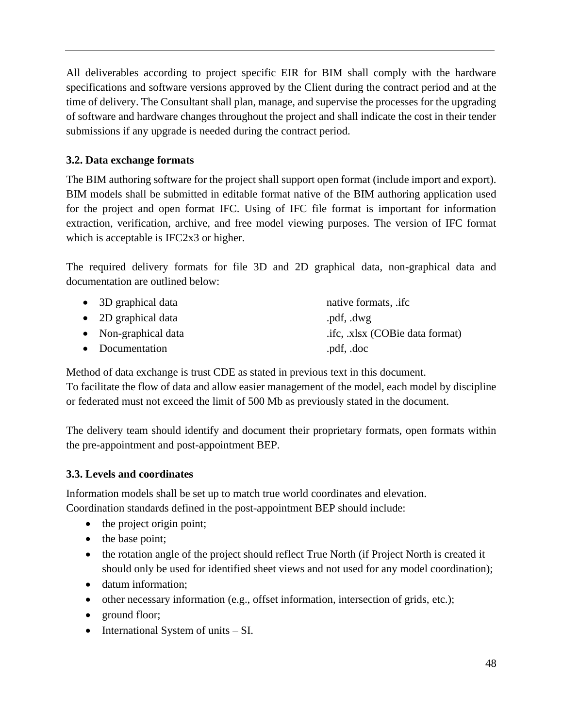All deliverables according to project specific EIR for BIM shall comply with the hardware specifications and software versions approved by the Client during the contract period and at the time of delivery. The Consultant shall plan, manage, and supervise the processes for the upgrading of software and hardware changes throughout the project and shall indicate the cost in their tender submissions if any upgrade is needed during the contract period.

# **3.2. Data exchange formats**

The BIM authoring software for the project shall support open format (include import and export). BIM models shall be submitted in editable format native of the BIM authoring application used for the project and open format IFC. Using of IFC file format is important for information extraction, verification, archive, and free model viewing purposes. The version of IFC format which is acceptable is IFC2x3 or higher.

The required delivery formats for file 3D and 2D graphical data, non-graphical data and documentation are outlined below:

| • 3D graphical data  | native formats, .ifc.           |
|----------------------|---------------------------------|
| • 2D graphical data  | .pdf, .dwg                      |
| • Non-graphical data | .ifc, .xlsx (COBie data format) |
| • Documentation      | .pdf, .doc                      |

Method of data exchange is trust CDE as stated in previous text in this document. To facilitate the flow of data and allow easier management of the model, each model by discipline or federated must not exceed the limit of 500 Mb as previously stated in the document.

The delivery team should identify and document their proprietary formats, open formats within the pre-appointment and post-appointment BEP.

#### **3.3. Levels and coordinates**

Information models shall be set up to match true world coordinates and elevation. Coordination standards defined in the post-appointment BEP should include:

- the project origin point;
- the base point;
- the rotation angle of the project should reflect True North (if Project North is created it should only be used for identified sheet views and not used for any model coordination);
- datum information;
- other necessary information (e.g., offset information, intersection of grids, etc.);
- ground floor;
- International System of units SI.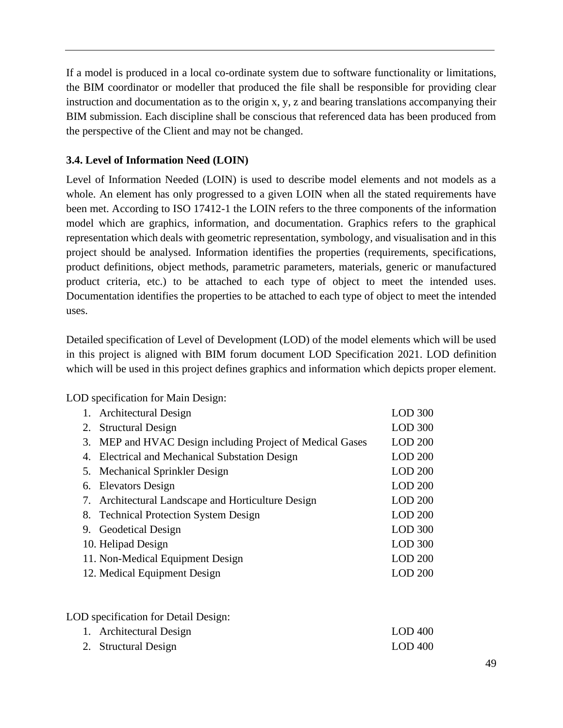If a model is produced in a local co-ordinate system due to software functionality or limitations, the BIM coordinator or modeller that produced the file shall be responsible for providing clear instruction and documentation as to the origin x, y, z and bearing translations accompanying their BIM submission. Each discipline shall be conscious that referenced data has been produced from the perspective of the Client and may not be changed.

# **3.4. Level of Information Need (LOIN)**

Level of Information Needed (LOIN) is used to describe model elements and not models as a whole. An element has only progressed to a given LOIN when all the stated requirements have been met. According to ISO 17412-1 the LOIN refers to the three components of the information model which are graphics, information, and documentation. Graphics refers to the graphical representation which deals with geometric representation, symbology, and visualisation and in this project should be analysed. Information identifies the properties (requirements, specifications, product definitions, object methods, parametric parameters, materials, generic or manufactured product criteria, etc.) to be attached to each type of object to meet the intended uses. Documentation identifies the properties to be attached to each type of object to meet the intended uses.

Detailed specification of Level of Development (LOD) of the model elements which will be used in this project is aligned with BIM forum document LOD Specification 2021. LOD definition which will be used in this project defines graphics and information which depicts proper element.

LOD specification for Main Design:

|    | 1. Architectural Design                                | <b>LOD 300</b> |
|----|--------------------------------------------------------|----------------|
|    | 2. Structural Design                                   | <b>LOD 300</b> |
| 3. | MEP and HVAC Design including Project of Medical Gases | <b>LOD 200</b> |
|    | 4. Electrical and Mechanical Substation Design         | <b>LOD 200</b> |
|    | 5. Mechanical Sprinkler Design                         | <b>LOD 200</b> |
|    | 6. Elevators Design                                    | <b>LOD 200</b> |
|    | 7. Architectural Landscape and Horticulture Design     | <b>LOD 200</b> |
|    | 8. Technical Protection System Design                  | <b>LOD 200</b> |
|    | 9. Geodetical Design                                   | <b>LOD 300</b> |
|    | 10. Helipad Design                                     | <b>LOD 300</b> |
|    | 11. Non-Medical Equipment Design                       | <b>LOD 200</b> |
|    | 12. Medical Equipment Design                           | LOD200         |

LOD specification for Detail Design:

| 1. Architectural Design | $LOD$ 400 |
|-------------------------|-----------|
| 2. Structural Design    | $LOD$ 400 |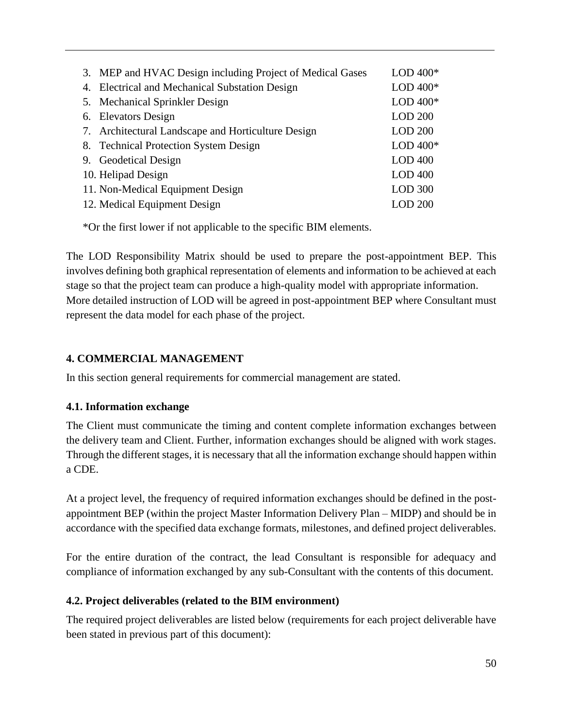| 3. MEP and HVAC Design including Project of Medical Gases | LOD $400*$     |
|-----------------------------------------------------------|----------------|
| 4. Electrical and Mechanical Substation Design            | LOD $400*$     |
| 5. Mechanical Sprinkler Design                            | LOD $400*$     |
| 6. Elevators Design                                       | <b>LOD 200</b> |
| 7. Architectural Landscape and Horticulture Design        | <b>LOD 200</b> |
| 8. Technical Protection System Design                     | LOD $400*$     |
| 9. Geodetical Design                                      | $LOD$ 400      |
| 10. Helipad Design                                        | $LOD$ 400      |
| 11. Non-Medical Equipment Design                          | <b>LOD 300</b> |
| 12. Medical Equipment Design                              | <b>LOD 200</b> |

\*Or the first lower if not applicable to the specific BIM elements.

The LOD Responsibility Matrix should be used to prepare the post-appointment BEP. This involves defining both graphical representation of elements and information to be achieved at each stage so that the project team can produce a high-quality model with appropriate information. More detailed instruction of LOD will be agreed in post-appointment BEP where Consultant must represent the data model for each phase of the project.

# **4. COMMERCIAL MANAGEMENT**

In this section general requirements for commercial management are stated.

#### **4.1. Information exchange**

The Client must communicate the timing and content complete information exchanges between the delivery team and Client. Further, information exchanges should be aligned with work stages. Through the different stages, it is necessary that all the information exchange should happen within a CDE.

At a project level, the frequency of required information exchanges should be defined in the postappointment BEP (within the project Master Information Delivery Plan – MIDP) and should be in accordance with the specified data exchange formats, milestones, and defined project deliverables.

For the entire duration of the contract, the lead Consultant is responsible for adequacy and compliance of information exchanged by any sub-Consultant with the contents of this document.

# **4.2. Project deliverables (related to the BIM environment)**

The required project deliverables are listed below (requirements for each project deliverable have been stated in previous part of this document):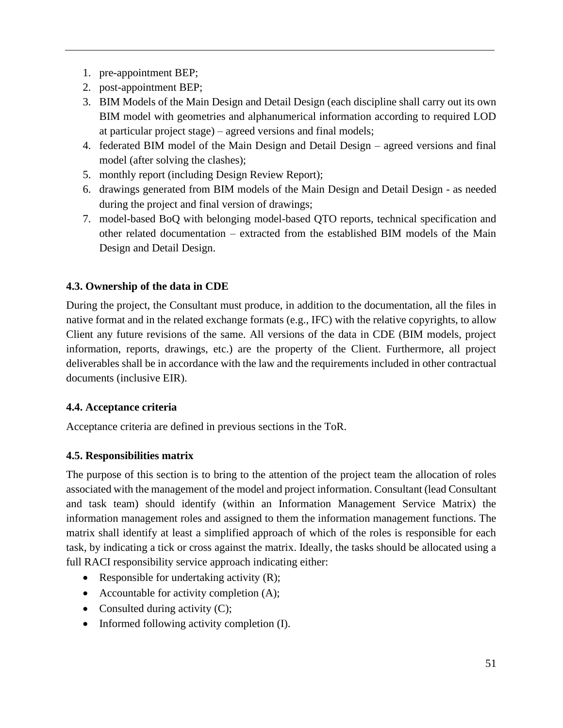- 1. pre-appointment BEP;
- 2. post-appointment BEP;
- 3. BIM Models of the Main Design and Detail Design (each discipline shall carry out its own BIM model with geometries and alphanumerical information according to required LOD at particular project stage) – agreed versions and final models;
- 4. federated BIM model of the Main Design and Detail Design agreed versions and final model (after solving the clashes);
- 5. monthly report (including Design Review Report);
- 6. drawings generated from BIM models of the Main Design and Detail Design as needed during the project and final version of drawings;
- 7. model-based BoQ with belonging model-based QTO reports, technical specification and other related documentation – extracted from the established BIM models of the Main Design and Detail Design.

### **4.3. Ownership of the data in CDE**

During the project, the Consultant must produce, in addition to the documentation, all the files in native format and in the related exchange formats (e.g., IFC) with the relative copyrights, to allow Client any future revisions of the same. All versions of the data in CDE (BIM models, project information, reports, drawings, etc.) are the property of the Client. Furthermore, all project deliverables shall be in accordance with the law and the requirements included in other contractual documents (inclusive EIR).

#### **4.4. Acceptance criteria**

Acceptance criteria are defined in previous sections in the ToR.

# **4.5. Responsibilities matrix**

The purpose of this section is to bring to the attention of the project team the allocation of roles associated with the management of the model and project information. Consultant (lead Consultant and task team) should identify (within an Information Management Service Matrix) the information management roles and assigned to them the information management functions. The matrix shall identify at least a simplified approach of which of the roles is responsible for each task, by indicating a tick or cross against the matrix. Ideally, the tasks should be allocated using a full RACI responsibility service approach indicating either:

- Responsible for undertaking activity  $(R)$ ;
- Accountable for activity completion (A);
- Consulted during activity  $(C)$ ;
- Informed following activity completion (I).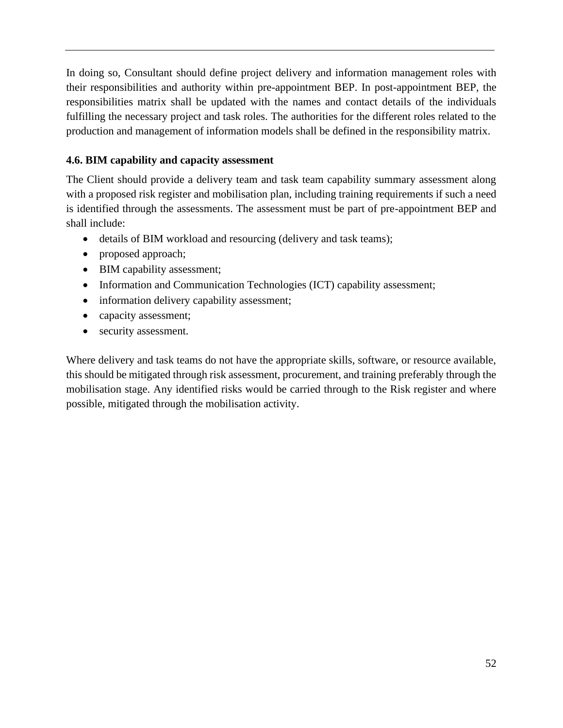In doing so, Consultant should define project delivery and information management roles with their responsibilities and authority within pre-appointment BEP. In post-appointment BEP, the responsibilities matrix shall be updated with the names and contact details of the individuals fulfilling the necessary project and task roles. The authorities for the different roles related to the production and management of information models shall be defined in the responsibility matrix.

# **4.6. BIM capability and capacity assessment**

The Client should provide a delivery team and task team capability summary assessment along with a proposed risk register and mobilisation plan, including training requirements if such a need is identified through the assessments. The assessment must be part of pre-appointment BEP and shall include:

- details of BIM workload and resourcing (delivery and task teams);
- proposed approach;
- BIM capability assessment;
- Information and Communication Technologies (ICT) capability assessment;
- information delivery capability assessment;
- capacity assessment;
- security assessment.

Where delivery and task teams do not have the appropriate skills, software, or resource available, this should be mitigated through risk assessment, procurement, and training preferably through the mobilisation stage. Any identified risks would be carried through to the Risk register and where possible, mitigated through the mobilisation activity.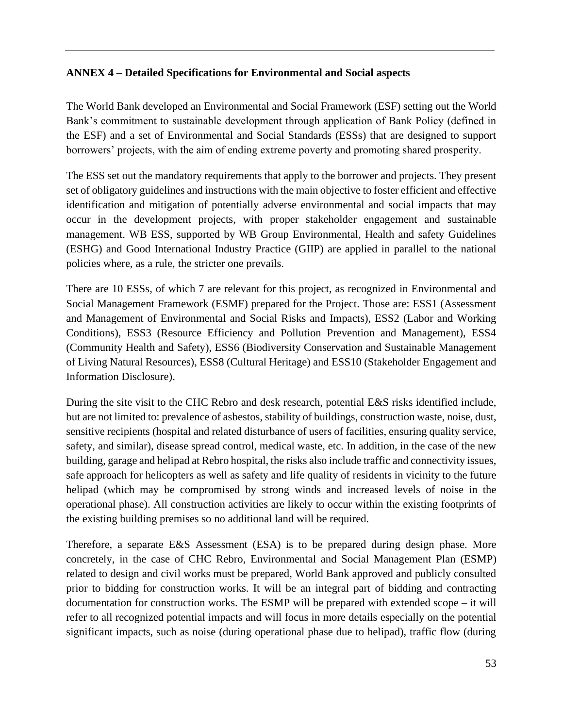#### **ANNEX 4 – Detailed Specifications for Environmental and Social aspects**

The World Bank developed an Environmental and Social Framework (ESF) setting out the World Bank's commitment to sustainable development through application of Bank Policy (defined in the ESF) and a set of Environmental and Social Standards (ESSs) that are designed to support borrowers' projects, with the aim of ending extreme poverty and promoting shared prosperity.

The ESS set out the mandatory requirements that apply to the borrower and projects. They present set of obligatory guidelines and instructions with the main objective to foster efficient and effective identification and mitigation of potentially adverse environmental and social impacts that may occur in the development projects, with proper stakeholder engagement and sustainable management. WB ESS, supported by WB Group Environmental, Health and safety Guidelines (ESHG) and Good International Industry Practice (GIIP) are applied in parallel to the national policies where, as a rule, the stricter one prevails.

There are 10 ESSs, of which 7 are relevant for this project, as recognized in Environmental and Social Management Framework (ESMF) prepared for the Project. Those are: ESS1 (Assessment and Management of Environmental and Social Risks and Impacts), ESS2 (Labor and Working Conditions), ESS3 (Resource Efficiency and Pollution Prevention and Management), ESS4 (Community Health and Safety), ESS6 (Biodiversity Conservation and Sustainable Management of Living Natural Resources), ESS8 (Cultural Heritage) and ESS10 (Stakeholder Engagement and Information Disclosure).

During the site visit to the CHC Rebro and desk research, potential E&S risks identified include, but are not limited to: prevalence of asbestos, stability of buildings, construction waste, noise, dust, sensitive recipients (hospital and related disturbance of users of facilities, ensuring quality service, safety, and similar), disease spread control, medical waste, etc. In addition, in the case of the new building, garage and helipad at Rebro hospital, the risks also include traffic and connectivity issues, safe approach for helicopters as well as safety and life quality of residents in vicinity to the future helipad (which may be compromised by strong winds and increased levels of noise in the operational phase). All construction activities are likely to occur within the existing footprints of the existing building premises so no additional land will be required.

Therefore, a separate E&S Assessment (ESA) is to be prepared during design phase. More concretely, in the case of CHC Rebro, Environmental and Social Management Plan (ESMP) related to design and civil works must be prepared, World Bank approved and publicly consulted prior to bidding for construction works. It will be an integral part of bidding and contracting documentation for construction works. The ESMP will be prepared with extended scope – it will refer to all recognized potential impacts and will focus in more details especially on the potential significant impacts, such as noise (during operational phase due to helipad), traffic flow (during